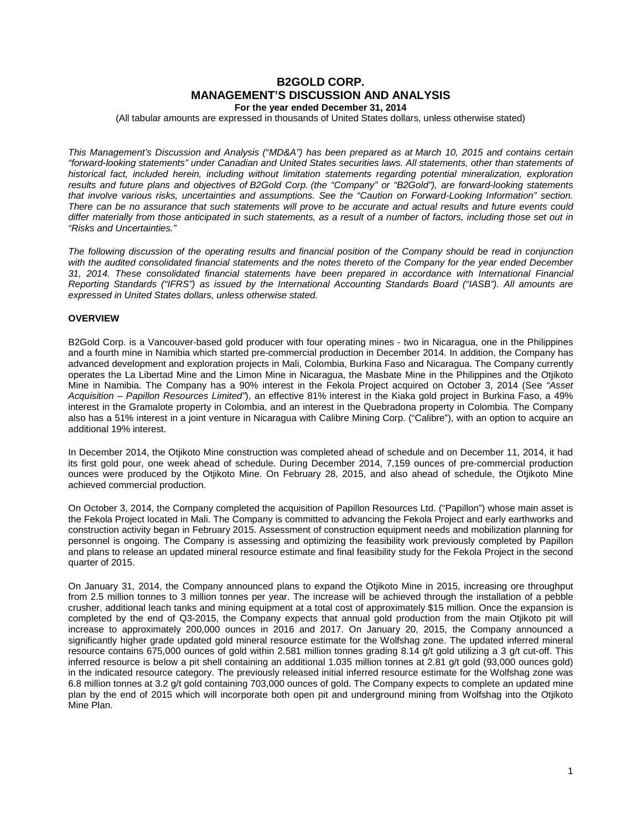# **B2GOLD CORP. MANAGEMENT'S DISCUSSION AND ANALYSIS For the year ended December 31, 2014**

(All tabular amounts are expressed in thousands of United States dollars, unless otherwise stated)

*This Management's Discussion and Analysis ("MD&A") has been prepared as at March 10, 2015 and contains certain "forward-looking statements" under Canadian and United States securities laws. All statements, other than statements of historical fact, included herein, including without limitation statements regarding potential mineralization, exploration results and future plans and objectives of B2Gold Corp. (the "Company" or "B2Gold"), are forward-looking statements that involve various risks, uncertainties and assumptions. See the "Caution on Forward-Looking Information" section. There can be no assurance that such statements will prove to be accurate and actual results and future events could differ materially from those anticipated in such statements, as a result of a number of factors, including those set out in "Risks and Uncertainties."*

*The following discussion of the operating results and financial position of the Company should be read in conjunction with the audited consolidated financial statements and the notes thereto of the Company for the year ended December 31, 2014. These consolidated financial statements have been prepared in accordance with International Financial Reporting Standards ("IFRS") as issued by the International Accounting Standards Board ("IASB"). All amounts are expressed in United States dollars, unless otherwise stated.*

# **OVERVIEW**

B2Gold Corp. is a Vancouver-based gold producer with four operating mines - two in Nicaragua, one in the Philippines and a fourth mine in Namibia which started pre-commercial production in December 2014. In addition, the Company has advanced development and exploration projects in Mali, Colombia, Burkina Faso and Nicaragua. The Company currently operates the La Libertad Mine and the Limon Mine in Nicaragua, the Masbate Mine in the Philippines and the Otjikoto Mine in Namibia. The Company has a 90% interest in the Fekola Project acquired on October 3, 2014 (See *"Asset Acquisition – Papillon Resources Limited"*), an effective 81% interest in the Kiaka gold project in Burkina Faso, a 49% interest in the Gramalote property in Colombia, and an interest in the Quebradona property in Colombia. The Company also has a 51% interest in a joint venture in Nicaragua with Calibre Mining Corp. ("Calibre"), with an option to acquire an additional 19% interest.

In December 2014, the Otjikoto Mine construction was completed ahead of schedule and on December 11, 2014, it had its first gold pour, one week ahead of schedule. During December 2014, 7,159 ounces of pre-commercial production ounces were produced by the Otjikoto Mine. On February 28, 2015, and also ahead of schedule, the Otjikoto Mine achieved commercial production.

On October 3, 2014, the Company completed the acquisition of Papillon Resources Ltd. ("Papillon") whose main asset is the Fekola Project located in Mali. The Company is committed to advancing the Fekola Project and early earthworks and construction activity began in February 2015. Assessment of construction equipment needs and mobilization planning for personnel is ongoing. The Company is assessing and optimizing the feasibility work previously completed by Papillon and plans to release an updated mineral resource estimate and final feasibility study for the Fekola Project in the second quarter of 2015.

On January 31, 2014, the Company announced plans to expand the Otjikoto Mine in 2015, increasing ore throughput from 2.5 million tonnes to 3 million tonnes per year. The increase will be achieved through the installation of a pebble crusher, additional leach tanks and mining equipment at a total cost of approximately \$15 million. Once the expansion is completed by the end of Q3-2015, the Company expects that annual gold production from the main Otjikoto pit will increase to approximately 200,000 ounces in 2016 and 2017. On January 20, 2015, the Company announced a significantly higher grade updated gold mineral resource estimate for the Wolfshag zone. The updated inferred mineral resource contains 675,000 ounces of gold within 2.581 million tonnes grading 8.14 g/t gold utilizing a 3 g/t cut-off. This inferred resource is below a pit shell containing an additional 1.035 million tonnes at 2.81 g/t gold (93,000 ounces gold) in the indicated resource category. The previously released initial inferred resource estimate for the Wolfshag zone was 6.8 million tonnes at 3.2 g/t gold containing 703,000 ounces of gold. The Company expects to complete an updated mine plan by the end of 2015 which will incorporate both open pit and underground mining from Wolfshag into the Otjikoto Mine Plan.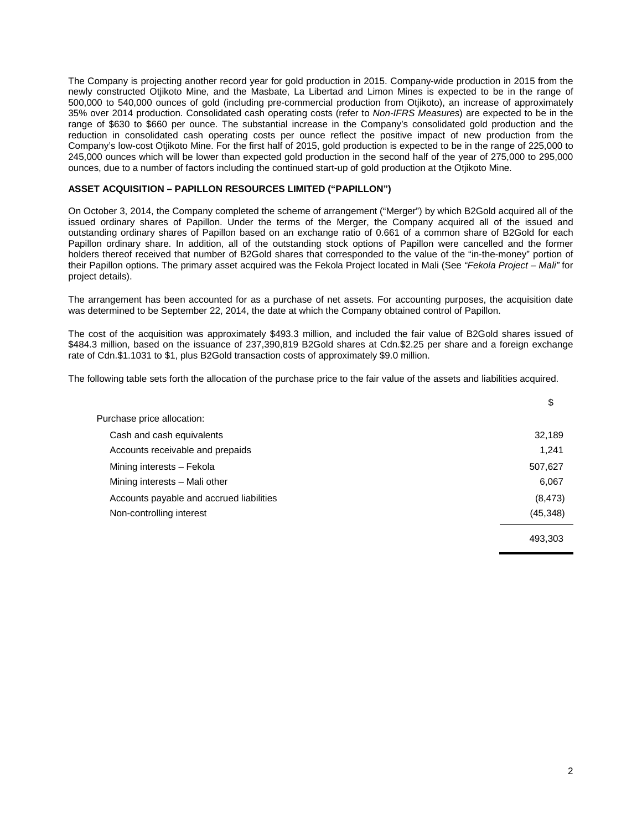The Company is projecting another record year for gold production in 2015. Company-wide production in 2015 from the newly constructed Otjikoto Mine, and the Masbate, La Libertad and Limon Mines is expected to be in the range of 500,000 to 540,000 ounces of gold (including pre-commercial production from Otjikoto), an increase of approximately 35% over 2014 production. Consolidated cash operating costs (refer to *Non-IFRS Measures*) are expected to be in the range of \$630 to \$660 per ounce. The substantial increase in the Company's consolidated gold production and the reduction in consolidated cash operating costs per ounce reflect the positive impact of new production from the Company's low-cost Otjikoto Mine. For the first half of 2015, gold production is expected to be in the range of 225,000 to 245,000 ounces which will be lower than expected gold production in the second half of the year of 275,000 to 295,000 ounces, due to a number of factors including the continued start-up of gold production at the Otjikoto Mine.

# **ASSET ACQUISITION – PAPILLON RESOURCES LIMITED ("PAPILLON")**

On October 3, 2014, the Company completed the scheme of arrangement ("Merger") by which B2Gold acquired all of the issued ordinary shares of Papillon. Under the terms of the Merger, the Company acquired all of the issued and outstanding ordinary shares of Papillon based on an exchange ratio of 0.661 of a common share of B2Gold for each Papillon ordinary share. In addition, all of the outstanding stock options of Papillon were cancelled and the former holders thereof received that number of B2Gold shares that corresponded to the value of the "in-the-money" portion of their Papillon options. The primary asset acquired was the Fekola Project located in Mali (See *"Fekola Project – Mali"* for project details).

The arrangement has been accounted for as a purchase of net assets. For accounting purposes, the acquisition date was determined to be September 22, 2014, the date at which the Company obtained control of Papillon.

The cost of the acquisition was approximately \$493.3 million, and included the fair value of B2Gold shares issued of \$484.3 million, based on the issuance of 237,390,819 B2Gold shares at Cdn.\$2.25 per share and a foreign exchange rate of Cdn.\$1.1031 to \$1, plus B2Gold transaction costs of approximately \$9.0 million.

The following table sets forth the allocation of the purchase price to the fair value of the assets and liabilities acquired.

|                                          | Ψ         |
|------------------------------------------|-----------|
| Purchase price allocation:               |           |
| Cash and cash equivalents                | 32,189    |
| Accounts receivable and prepaids         | 1,241     |
| Mining interests - Fekola                | 507,627   |
| Mining interests - Mali other            | 6,067     |
| Accounts payable and accrued liabilities | (8, 473)  |
| Non-controlling interest                 | (45, 348) |
|                                          | 493.303   |

\$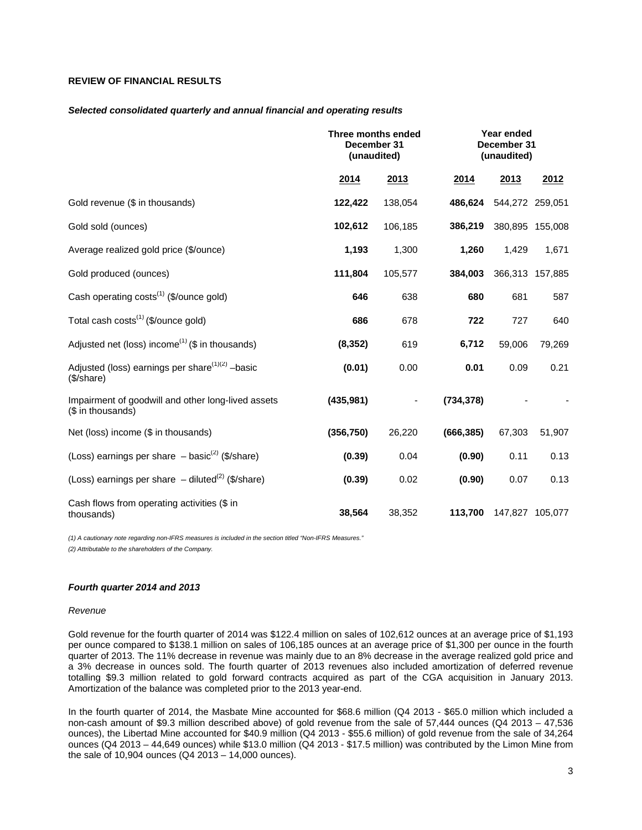# **REVIEW OF FINANCIAL RESULTS**

#### *Selected consolidated quarterly and annual financial and operating results*

|                                                                           | Three months ended<br>December 31<br>(unaudited) |         | Year ended<br>December 31<br>(unaudited) |         |                 |
|---------------------------------------------------------------------------|--------------------------------------------------|---------|------------------------------------------|---------|-----------------|
|                                                                           | 2014                                             | 2013    | 2014                                     | 2013    | 2012            |
| Gold revenue (\$ in thousands)                                            | 122,422                                          | 138,054 | 486,624                                  |         | 544,272 259,051 |
| Gold sold (ounces)                                                        | 102,612                                          | 106,185 | 386,219                                  |         | 380,895 155,008 |
| Average realized gold price (\$/ounce)                                    | 1,193                                            | 1,300   | 1,260                                    | 1,429   | 1,671           |
| Gold produced (ounces)                                                    | 111,804                                          | 105,577 | 384,003                                  | 366,313 | 157,885         |
| Cash operating costs <sup>(1)</sup> (\$/ounce gold)                       | 646                                              | 638     | 680                                      | 681     | 587             |
| Total cash costs <sup>(1)</sup> (\$/ounce gold)                           | 686                                              | 678     | 722                                      | 727     | 640             |
| Adjusted net (loss) income <sup>(1)</sup> (\$ in thousands)               | (8, 352)                                         | 619     | 6,712                                    | 59,006  | 79,269          |
| Adjusted (loss) earnings per share <sup>(1)(2)</sup> -basic<br>(\$/share) | (0.01)                                           | 0.00    | 0.01                                     | 0.09    | 0.21            |
| Impairment of goodwill and other long-lived assets<br>(\$ in thousands)   | (435, 981)                                       |         | (734, 378)                               |         |                 |
| Net (loss) income (\$ in thousands)                                       | (356, 750)                                       | 26,220  | (666, 385)                               | 67,303  | 51,907          |
| (Loss) earnings per share $-$ basic <sup>(2)</sup> (\$/share)             | (0.39)                                           | 0.04    | (0.90)                                   | 0.11    | 0.13            |
| (Loss) earnings per share $-$ diluted <sup>(2)</sup> (\$/share)           | (0.39)                                           | 0.02    | (0.90)                                   | 0.07    | 0.13            |
| Cash flows from operating activities (\$ in<br>thousands)                 | 38,564                                           | 38,352  | 113,700                                  |         | 147,827 105,077 |

*(1) A cautionary note regarding non-IFRS measures is included in the section titled "Non-IFRS Measures."*

*(2) Attributable to the shareholders of the Company.*

# *Fourth quarter 2014 and 2013*

#### *Revenue*

Gold revenue for the fourth quarter of 2014 was \$122.4 million on sales of 102,612 ounces at an average price of \$1,193 per ounce compared to \$138.1 million on sales of 106,185 ounces at an average price of \$1,300 per ounce in the fourth quarter of 2013. The 11% decrease in revenue was mainly due to an 8% decrease in the average realized gold price and a 3% decrease in ounces sold. The fourth quarter of 2013 revenues also included amortization of deferred revenue totalling \$9.3 million related to gold forward contracts acquired as part of the CGA acquisition in January 2013. Amortization of the balance was completed prior to the 2013 year-end.

In the fourth quarter of 2014, the Masbate Mine accounted for \$68.6 million (Q4 2013 - \$65.0 million which included a non-cash amount of \$9.3 million described above) of gold revenue from the sale of 57,444 ounces (Q4 2013 – 47,536 ounces), the Libertad Mine accounted for \$40.9 million (Q4 2013 - \$55.6 million) of gold revenue from the sale of 34,264 ounces (Q4 2013 – 44,649 ounces) while \$13.0 million (Q4 2013 - \$17.5 million) was contributed by the Limon Mine from the sale of 10,904 ounces (Q4 2013 – 14,000 ounces).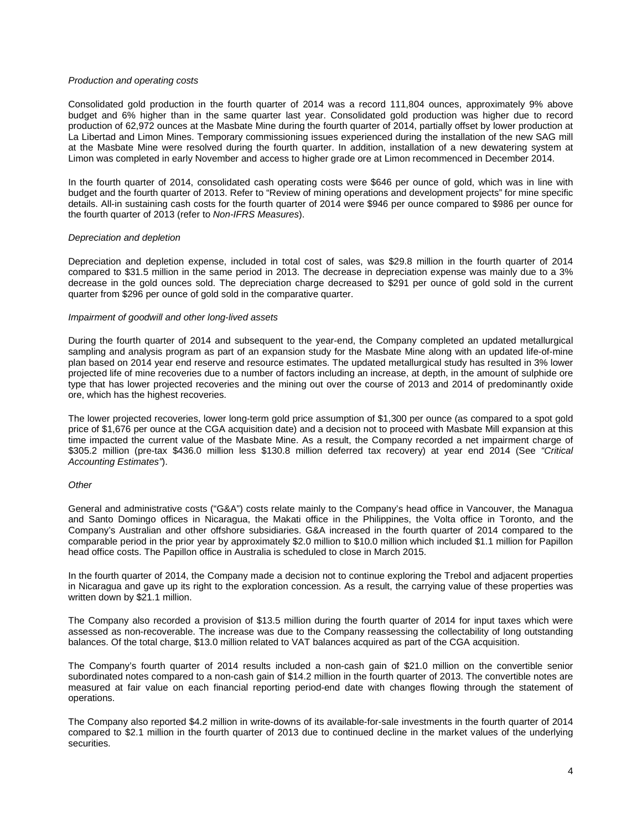### *Production and operating costs*

Consolidated gold production in the fourth quarter of 2014 was a record 111,804 ounces, approximately 9% above budget and 6% higher than in the same quarter last year. Consolidated gold production was higher due to record production of 62,972 ounces at the Masbate Mine during the fourth quarter of 2014, partially offset by lower production at La Libertad and Limon Mines. Temporary commissioning issues experienced during the installation of the new SAG mill at the Masbate Mine were resolved during the fourth quarter. In addition, installation of a new dewatering system at Limon was completed in early November and access to higher grade ore at Limon recommenced in December 2014.

In the fourth quarter of 2014, consolidated cash operating costs were \$646 per ounce of gold, which was in line with budget and the fourth quarter of 2013. Refer to "Review of mining operations and development projects" for mine specific details. All-in sustaining cash costs for the fourth quarter of 2014 were \$946 per ounce compared to \$986 per ounce for the fourth quarter of 2013 (refer to *Non-IFRS Measures*).

### *Depreciation and depletion*

Depreciation and depletion expense, included in total cost of sales, was \$29.8 million in the fourth quarter of 2014 compared to \$31.5 million in the same period in 2013. The decrease in depreciation expense was mainly due to a 3% decrease in the gold ounces sold. The depreciation charge decreased to \$291 per ounce of gold sold in the current quarter from \$296 per ounce of gold sold in the comparative quarter.

### *Impairment of goodwill and other long-lived assets*

During the fourth quarter of 2014 and subsequent to the year-end, the Company completed an updated metallurgical sampling and analysis program as part of an expansion study for the Masbate Mine along with an updated life-of-mine plan based on 2014 year end reserve and resource estimates. The updated metallurgical study has resulted in 3% lower projected life of mine recoveries due to a number of factors including an increase, at depth, in the amount of sulphide ore type that has lower projected recoveries and the mining out over the course of 2013 and 2014 of predominantly oxide ore, which has the highest recoveries.

The lower projected recoveries, lower long-term gold price assumption of \$1,300 per ounce (as compared to a spot gold price of \$1,676 per ounce at the CGA acquisition date) and a decision not to proceed with Masbate Mill expansion at this time impacted the current value of the Masbate Mine. As a result, the Company recorded a net impairment charge of \$305.2 million (pre-tax \$436.0 million less \$130.8 million deferred tax recovery) at year end 2014 (See *"Critical Accounting Estimates"*).

#### *Other*

General and administrative costs ("G&A") costs relate mainly to the Company's head office in Vancouver, the Managua and Santo Domingo offices in Nicaragua, the Makati office in the Philippines, the Volta office in Toronto, and the Company's Australian and other offshore subsidiaries. G&A increased in the fourth quarter of 2014 compared to the comparable period in the prior year by approximately \$2.0 million to \$10.0 million which included \$1.1 million for Papillon head office costs. The Papillon office in Australia is scheduled to close in March 2015.

In the fourth quarter of 2014, the Company made a decision not to continue exploring the Trebol and adjacent properties in Nicaragua and gave up its right to the exploration concession. As a result, the carrying value of these properties was written down by \$21.1 million.

The Company also recorded a provision of \$13.5 million during the fourth quarter of 2014 for input taxes which were assessed as non-recoverable. The increase was due to the Company reassessing the collectability of long outstanding balances. Of the total charge, \$13.0 million related to VAT balances acquired as part of the CGA acquisition.

The Company's fourth quarter of 2014 results included a non-cash gain of \$21.0 million on the convertible senior subordinated notes compared to a non-cash gain of \$14.2 million in the fourth quarter of 2013. The convertible notes are measured at fair value on each financial reporting period-end date with changes flowing through the statement of operations.

The Company also reported \$4.2 million in write-downs of its available-for-sale investments in the fourth quarter of 2014 compared to \$2.1 million in the fourth quarter of 2013 due to continued decline in the market values of the underlying securities.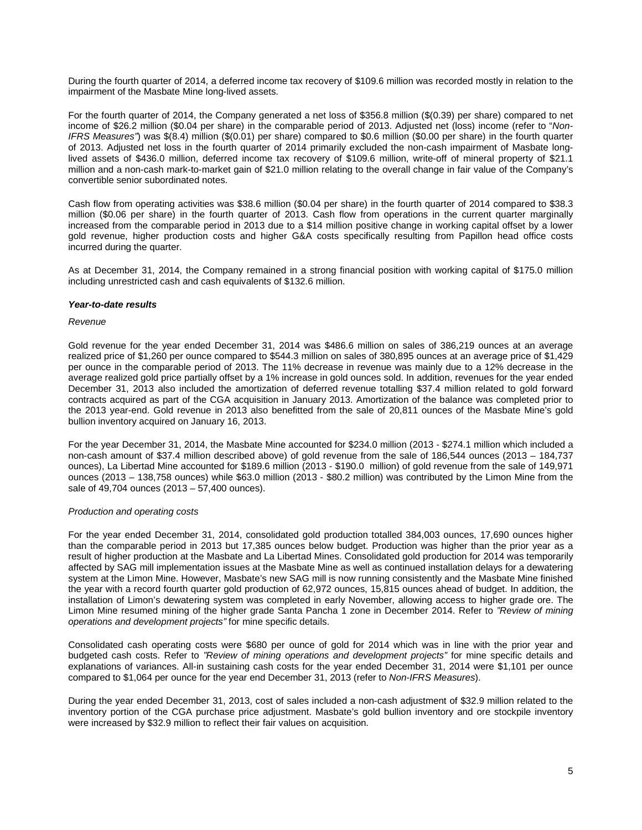During the fourth quarter of 2014, a deferred income tax recovery of \$109.6 million was recorded mostly in relation to the impairment of the Masbate Mine long-lived assets.

For the fourth quarter of 2014, the Company generated a net loss of \$356.8 million (\$(0.39) per share) compared to net income of \$26.2 million (\$0.04 per share) in the comparable period of 2013. Adjusted net (loss) income (refer to "*Non-IFRS Measures"*) was \$(8.4) million (\$(0.01) per share) compared to \$0.6 million (\$0.00 per share) in the fourth quarter of 2013. Adjusted net loss in the fourth quarter of 2014 primarily excluded the non-cash impairment of Masbate longlived assets of \$436.0 million, deferred income tax recovery of \$109.6 million, write-off of mineral property of \$21.1 million and a non-cash mark-to-market gain of \$21.0 million relating to the overall change in fair value of the Company's convertible senior subordinated notes.

Cash flow from operating activities was \$38.6 million (\$0.04 per share) in the fourth quarter of 2014 compared to \$38.3 million (\$0.06 per share) in the fourth quarter of 2013. Cash flow from operations in the current quarter marginally increased from the comparable period in 2013 due to a \$14 million positive change in working capital offset by a lower gold revenue, higher production costs and higher G&A costs specifically resulting from Papillon head office costs incurred during the quarter.

As at December 31, 2014, the Company remained in a strong financial position with working capital of \$175.0 million including unrestricted cash and cash equivalents of \$132.6 million.

### *Year-to-date results*

### *Revenue*

Gold revenue for the year ended December 31, 2014 was \$486.6 million on sales of 386,219 ounces at an average realized price of \$1,260 per ounce compared to \$544.3 million on sales of 380,895 ounces at an average price of \$1,429 per ounce in the comparable period of 2013. The 11% decrease in revenue was mainly due to a 12% decrease in the average realized gold price partially offset by a 1% increase in gold ounces sold. In addition, revenues for the year ended December 31, 2013 also included the amortization of deferred revenue totalling \$37.4 million related to gold forward contracts acquired as part of the CGA acquisition in January 2013. Amortization of the balance was completed prior to the 2013 year-end. Gold revenue in 2013 also benefitted from the sale of 20,811 ounces of the Masbate Mine's gold bullion inventory acquired on January 16, 2013.

For the year December 31, 2014, the Masbate Mine accounted for \$234.0 million (2013 - \$274.1 million which included a non-cash amount of \$37.4 million described above) of gold revenue from the sale of 186,544 ounces (2013 – 184,737 ounces), La Libertad Mine accounted for \$189.6 million (2013 - \$190.0 million) of gold revenue from the sale of 149,971 ounces (2013 – 138,758 ounces) while \$63.0 million (2013 - \$80.2 million) was contributed by the Limon Mine from the sale of 49,704 ounces (2013 – 57,400 ounces).

# *Production and operating costs*

For the year ended December 31, 2014, consolidated gold production totalled 384,003 ounces, 17,690 ounces higher than the comparable period in 2013 but 17,385 ounces below budget. Production was higher than the prior year as a result of higher production at the Masbate and La Libertad Mines. Consolidated gold production for 2014 was temporarily affected by SAG mill implementation issues at the Masbate Mine as well as continued installation delays for a dewatering system at the Limon Mine. However, Masbate's new SAG mill is now running consistently and the Masbate Mine finished the year with a record fourth quarter gold production of 62,972 ounces, 15,815 ounces ahead of budget. In addition, the installation of Limon's dewatering system was completed in early November, allowing access to higher grade ore. The Limon Mine resumed mining of the higher grade Santa Pancha 1 zone in December 2014. Refer to *"Review of mining operations and development projects"* for mine specific details.

Consolidated cash operating costs were \$680 per ounce of gold for 2014 which was in line with the prior year and budgeted cash costs. Refer to *"Review of mining operations and development projects"* for mine specific details and explanations of variances. All-in sustaining cash costs for the year ended December 31, 2014 were \$1,101 per ounce compared to \$1,064 per ounce for the year end December 31, 2013 (refer to *Non-IFRS Measures*).

During the year ended December 31, 2013, cost of sales included a non-cash adjustment of \$32.9 million related to the inventory portion of the CGA purchase price adjustment. Masbate's gold bullion inventory and ore stockpile inventory were increased by \$32.9 million to reflect their fair values on acquisition.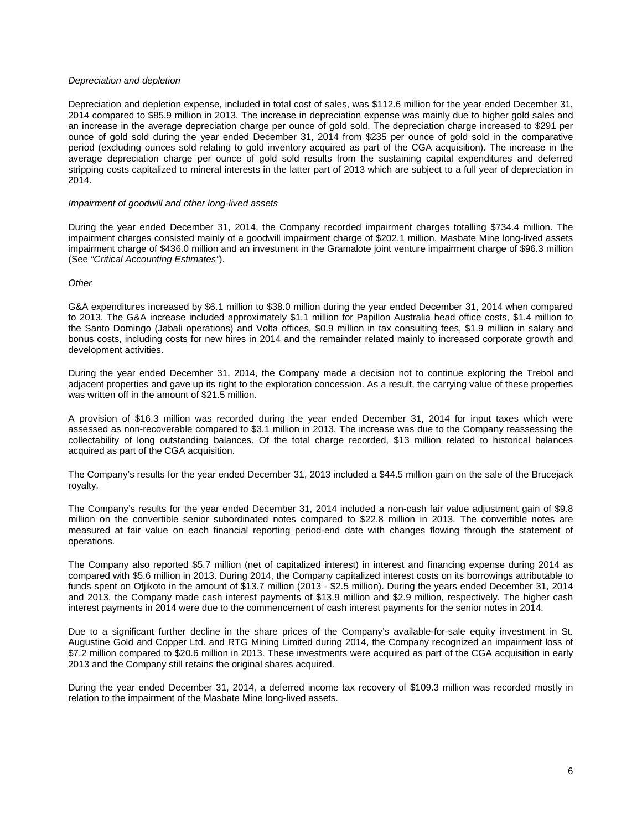### *Depreciation and depletion*

Depreciation and depletion expense, included in total cost of sales, was \$112.6 million for the year ended December 31, 2014 compared to \$85.9 million in 2013. The increase in depreciation expense was mainly due to higher gold sales and an increase in the average depreciation charge per ounce of gold sold. The depreciation charge increased to \$291 per ounce of gold sold during the year ended December 31, 2014 from \$235 per ounce of gold sold in the comparative period (excluding ounces sold relating to gold inventory acquired as part of the CGA acquisition). The increase in the average depreciation charge per ounce of gold sold results from the sustaining capital expenditures and deferred stripping costs capitalized to mineral interests in the latter part of 2013 which are subject to a full year of depreciation in 2014.

#### *Impairment of goodwill and other long-lived assets*

During the year ended December 31, 2014, the Company recorded impairment charges totalling \$734.4 million. The impairment charges consisted mainly of a goodwill impairment charge of \$202.1 million, Masbate Mine long-lived assets impairment charge of \$436.0 million and an investment in the Gramalote joint venture impairment charge of \$96.3 million (See *"Critical Accounting Estimates"*).

### *Other*

G&A expenditures increased by \$6.1 million to \$38.0 million during the year ended December 31, 2014 when compared to 2013. The G&A increase included approximately \$1.1 million for Papillon Australia head office costs, \$1.4 million to the Santo Domingo (Jabali operations) and Volta offices, \$0.9 million in tax consulting fees, \$1.9 million in salary and bonus costs, including costs for new hires in 2014 and the remainder related mainly to increased corporate growth and development activities.

During the year ended December 31, 2014, the Company made a decision not to continue exploring the Trebol and adjacent properties and gave up its right to the exploration concession. As a result, the carrying value of these properties was written off in the amount of \$21.5 million.

A provision of \$16.3 million was recorded during the year ended December 31, 2014 for input taxes which were assessed as non-recoverable compared to \$3.1 million in 2013. The increase was due to the Company reassessing the collectability of long outstanding balances. Of the total charge recorded, \$13 million related to historical balances acquired as part of the CGA acquisition.

The Company's results for the year ended December 31, 2013 included a \$44.5 million gain on the sale of the Brucejack royalty.

The Company's results for the year ended December 31, 2014 included a non-cash fair value adjustment gain of \$9.8 million on the convertible senior subordinated notes compared to \$22.8 million in 2013. The convertible notes are measured at fair value on each financial reporting period-end date with changes flowing through the statement of operations.

The Company also reported \$5.7 million (net of capitalized interest) in interest and financing expense during 2014 as compared with \$5.6 million in 2013. During 2014, the Company capitalized interest costs on its borrowings attributable to funds spent on Otjikoto in the amount of \$13.7 million (2013 - \$2.5 million). During the years ended December 31, 2014 and 2013, the Company made cash interest payments of \$13.9 million and \$2.9 million, respectively. The higher cash interest payments in 2014 were due to the commencement of cash interest payments for the senior notes in 2014.

Due to a significant further decline in the share prices of the Company's available-for-sale equity investment in St. Augustine Gold and Copper Ltd. and RTG Mining Limited during 2014, the Company recognized an impairment loss of \$7.2 million compared to \$20.6 million in 2013. These investments were acquired as part of the CGA acquisition in early 2013 and the Company still retains the original shares acquired.

During the year ended December 31, 2014, a deferred income tax recovery of \$109.3 million was recorded mostly in relation to the impairment of the Masbate Mine long-lived assets.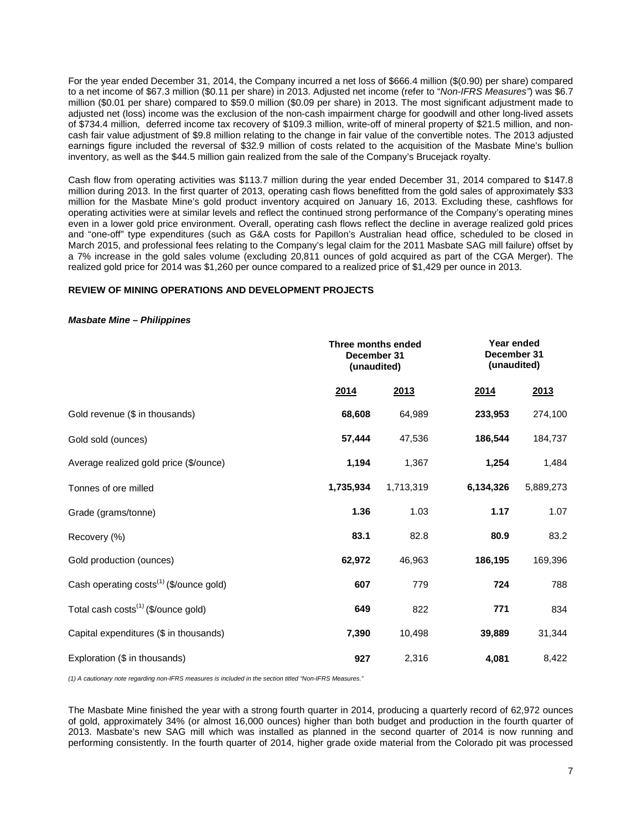For the year ended December 31, 2014, the Company incurred a net loss of \$666.4 million (\$(0.90) per share) compared to a net income of \$67.3 million (\$0.11 per share) in 2013. Adjusted net income (refer to "*Non-IFRS Measures"*) was \$6.7 million (\$0.01 per share) compared to \$59.0 million (\$0.09 per share) in 2013. The most significant adjustment made to adjusted net (loss) income was the exclusion of the non-cash impairment charge for goodwill and other long-lived assets of \$734.4 million, deferred income tax recovery of \$109.3 million, write-off of mineral property of \$21.5 million, and noncash fair value adjustment of \$9.8 million relating to the change in fair value of the convertible notes. The 2013 adjusted earnings figure included the reversal of \$32.9 million of costs related to the acquisition of the Masbate Mine's bullion inventory, as well as the \$44.5 million gain realized from the sale of the Company's Brucejack royalty.

Cash flow from operating activities was \$113.7 million during the year ended December 31, 2014 compared to \$147.8 million during 2013. In the first quarter of 2013, operating cash flows benefitted from the gold sales of approximately \$33 million for the Masbate Mine's gold product inventory acquired on January 16, 2013. Excluding these, cashflows for operating activities were at similar levels and reflect the continued strong performance of the Company's operating mines even in a lower gold price environment. Overall, operating cash flows reflect the decline in average realized gold prices and "one-off" type expenditures (such as G&A costs for Papillon's Australian head office, scheduled to be closed in March 2015, and professional fees relating to the Company's legal claim for the 2011 Masbate SAG mill failure) offset by a 7% increase in the gold sales volume (excluding 20,811 ounces of gold acquired as part of the CGA Merger). The realized gold price for 2014 was \$1,260 per ounce compared to a realized price of \$1,429 per ounce in 2013.

# **REVIEW OF MINING OPERATIONS AND DEVELOPMENT PROJECTS**

### *Masbate Mine – Philippines*

|                                                     |             | Three months ended<br>December 31<br>(unaudited) |           | Year ended<br>December 31<br>(unaudited) |
|-----------------------------------------------------|-------------|--------------------------------------------------|-----------|------------------------------------------|
|                                                     | <u>2014</u> | 2013                                             | 2014      | 2013                                     |
| Gold revenue (\$ in thousands)                      | 68,608      | 64,989                                           | 233,953   | 274,100                                  |
| Gold sold (ounces)                                  | 57,444      | 47,536                                           | 186,544   | 184,737                                  |
| Average realized gold price (\$/ounce)              | 1,194       | 1,367                                            | 1,254     | 1,484                                    |
| Tonnes of ore milled                                | 1,735,934   | 1,713,319                                        | 6,134,326 | 5,889,273                                |
| Grade (grams/tonne)                                 | 1.36        | 1.03                                             | 1.17      | 1.07                                     |
| Recovery (%)                                        | 83.1        | 82.8                                             | 80.9      | 83.2                                     |
| Gold production (ounces)                            | 62,972      | 46,963                                           | 186,195   | 169,396                                  |
| Cash operating costs <sup>(1)</sup> (\$/ounce gold) | 607         | 779                                              | 724       | 788                                      |
| Total cash costs <sup>(1)</sup> (\$/ounce gold)     | 649         | 822                                              | 771       | 834                                      |
| Capital expenditures (\$ in thousands)              | 7,390       | 10,498                                           | 39,889    | 31,344                                   |
| Exploration (\$ in thousands)                       | 927         | 2,316                                            | 4,081     | 8,422                                    |

*(1) A cautionary note regarding non-IFRS measures is included in the section titled "Non-IFRS Measures."* 

The Masbate Mine finished the year with a strong fourth quarter in 2014, producing a quarterly record of 62,972 ounces of gold, approximately 34% (or almost 16,000 ounces) higher than both budget and production in the fourth quarter of 2013. Masbate's new SAG mill which was installed as planned in the second quarter of 2014 is now running and performing consistently. In the fourth quarter of 2014, higher grade oxide material from the Colorado pit was processed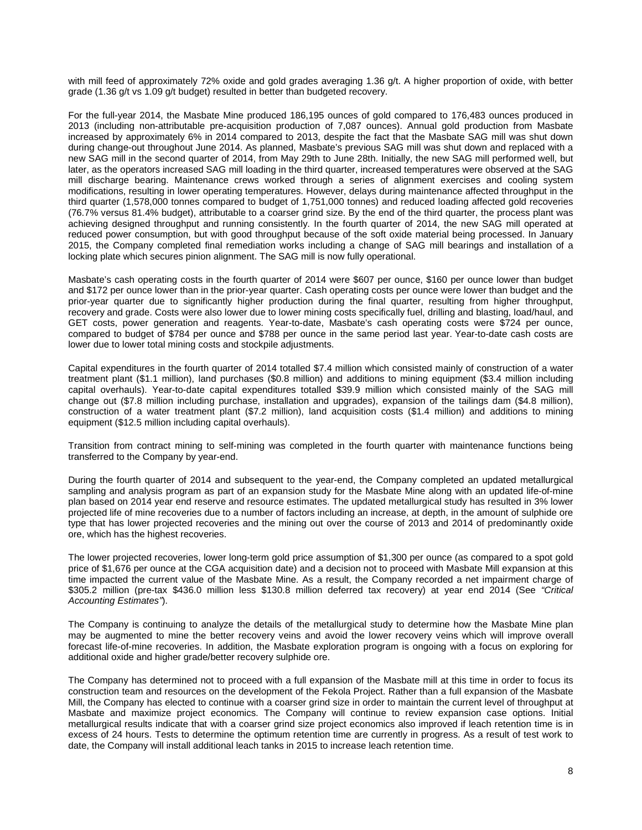with mill feed of approximately 72% oxide and gold grades averaging 1.36 g/t. A higher proportion of oxide, with better grade (1.36 g/t vs 1.09 g/t budget) resulted in better than budgeted recovery.

For the full-year 2014, the Masbate Mine produced 186,195 ounces of gold compared to 176,483 ounces produced in 2013 (including non-attributable pre-acquisition production of 7,087 ounces). Annual gold production from Masbate increased by approximately 6% in 2014 compared to 2013, despite the fact that the Masbate SAG mill was shut down during change-out throughout June 2014. As planned, Masbate's previous SAG mill was shut down and replaced with a new SAG mill in the second quarter of 2014, from May 29th to June 28th. Initially, the new SAG mill performed well, but later, as the operators increased SAG mill loading in the third quarter, increased temperatures were observed at the SAG mill discharge bearing. Maintenance crews worked through a series of alignment exercises and cooling system modifications, resulting in lower operating temperatures. However, delays during maintenance affected throughput in the third quarter (1,578,000 tonnes compared to budget of 1,751,000 tonnes) and reduced loading affected gold recoveries (76.7% versus 81.4% budget), attributable to a coarser grind size. By the end of the third quarter, the process plant was achieving designed throughput and running consistently. In the fourth quarter of 2014, the new SAG mill operated at reduced power consumption, but with good throughput because of the soft oxide material being processed. In January 2015, the Company completed final remediation works including a change of SAG mill bearings and installation of a locking plate which secures pinion alignment. The SAG mill is now fully operational.

Masbate's cash operating costs in the fourth quarter of 2014 were \$607 per ounce, \$160 per ounce lower than budget and \$172 per ounce lower than in the prior-year quarter. Cash operating costs per ounce were lower than budget and the prior-year quarter due to significantly higher production during the final quarter, resulting from higher throughput, recovery and grade. Costs were also lower due to lower mining costs specifically fuel, drilling and blasting, load/haul, and GET costs, power generation and reagents. Year-to-date, Masbate's cash operating costs were \$724 per ounce, compared to budget of \$784 per ounce and \$788 per ounce in the same period last year. Year-to-date cash costs are lower due to lower total mining costs and stockpile adjustments.

Capital expenditures in the fourth quarter of 2014 totalled \$7.4 million which consisted mainly of construction of a water treatment plant (\$1.1 million), land purchases (\$0.8 million) and additions to mining equipment (\$3.4 million including capital overhauls). Year-to-date capital expenditures totalled \$39.9 million which consisted mainly of the SAG mill change out (\$7.8 million including purchase, installation and upgrades), expansion of the tailings dam (\$4.8 million), construction of a water treatment plant (\$7.2 million), land acquisition costs (\$1.4 million) and additions to mining equipment (\$12.5 million including capital overhauls).

Transition from contract mining to self-mining was completed in the fourth quarter with maintenance functions being transferred to the Company by year-end.

During the fourth quarter of 2014 and subsequent to the year-end, the Company completed an updated metallurgical sampling and analysis program as part of an expansion study for the Masbate Mine along with an updated life-of-mine plan based on 2014 year end reserve and resource estimates. The updated metallurgical study has resulted in 3% lower projected life of mine recoveries due to a number of factors including an increase, at depth, in the amount of sulphide ore type that has lower projected recoveries and the mining out over the course of 2013 and 2014 of predominantly oxide ore, which has the highest recoveries.

The lower projected recoveries, lower long-term gold price assumption of \$1,300 per ounce (as compared to a spot gold price of \$1,676 per ounce at the CGA acquisition date) and a decision not to proceed with Masbate Mill expansion at this time impacted the current value of the Masbate Mine. As a result, the Company recorded a net impairment charge of \$305.2 million (pre-tax \$436.0 million less \$130.8 million deferred tax recovery) at year end 2014 (See *"Critical Accounting Estimates"*).

The Company is continuing to analyze the details of the metallurgical study to determine how the Masbate Mine plan may be augmented to mine the better recovery veins and avoid the lower recovery veins which will improve overall forecast life-of-mine recoveries. In addition, the Masbate exploration program is ongoing with a focus on exploring for additional oxide and higher grade/better recovery sulphide ore.

The Company has determined not to proceed with a full expansion of the Masbate mill at this time in order to focus its construction team and resources on the development of the Fekola Project. Rather than a full expansion of the Masbate Mill, the Company has elected to continue with a coarser grind size in order to maintain the current level of throughput at Masbate and maximize project economics. The Company will continue to review expansion case options. Initial metallurgical results indicate that with a coarser grind size project economics also improved if leach retention time is in excess of 24 hours. Tests to determine the optimum retention time are currently in progress. As a result of test work to date, the Company will install additional leach tanks in 2015 to increase leach retention time.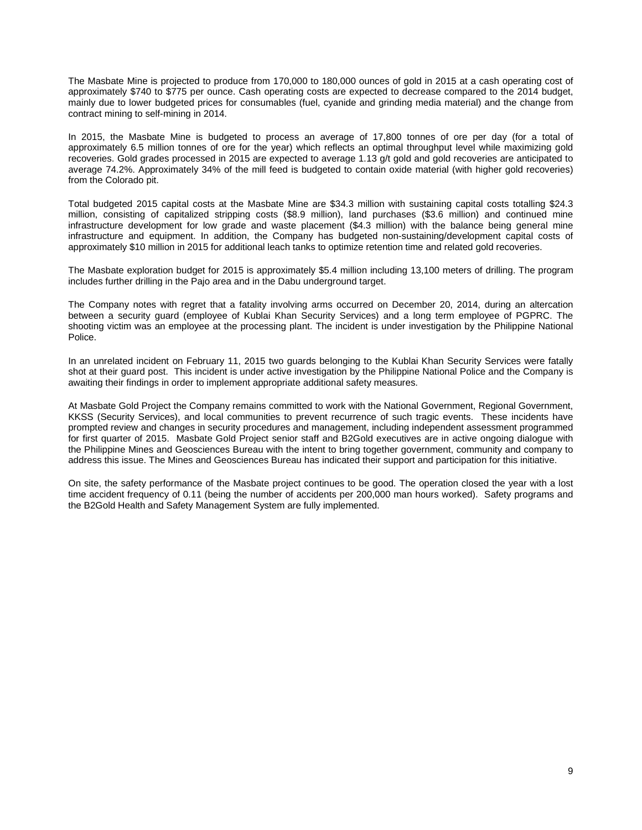The Masbate Mine is projected to produce from 170,000 to 180,000 ounces of gold in 2015 at a cash operating cost of approximately \$740 to \$775 per ounce. Cash operating costs are expected to decrease compared to the 2014 budget, mainly due to lower budgeted prices for consumables (fuel, cyanide and grinding media material) and the change from contract mining to self-mining in 2014.

In 2015, the Masbate Mine is budgeted to process an average of 17,800 tonnes of ore per day (for a total of approximately 6.5 million tonnes of ore for the year) which reflects an optimal throughput level while maximizing gold recoveries. Gold grades processed in 2015 are expected to average 1.13 g/t gold and gold recoveries are anticipated to average 74.2%. Approximately 34% of the mill feed is budgeted to contain oxide material (with higher gold recoveries) from the Colorado pit.

Total budgeted 2015 capital costs at the Masbate Mine are \$34.3 million with sustaining capital costs totalling \$24.3 million, consisting of capitalized stripping costs (\$8.9 million), land purchases (\$3.6 million) and continued mine infrastructure development for low grade and waste placement (\$4.3 million) with the balance being general mine infrastructure and equipment. In addition, the Company has budgeted non-sustaining/development capital costs of approximately \$10 million in 2015 for additional leach tanks to optimize retention time and related gold recoveries.

The Masbate exploration budget for 2015 is approximately \$5.4 million including 13,100 meters of drilling. The program includes further drilling in the Pajo area and in the Dabu underground target.

The Company notes with regret that a fatality involving arms occurred on December 20, 2014, during an altercation between a security guard (employee of Kublai Khan Security Services) and a long term employee of PGPRC. The shooting victim was an employee at the processing plant. The incident is under investigation by the Philippine National Police.

In an unrelated incident on February 11, 2015 two guards belonging to the Kublai Khan Security Services were fatally shot at their guard post. This incident is under active investigation by the Philippine National Police and the Company is awaiting their findings in order to implement appropriate additional safety measures.

At Masbate Gold Project the Company remains committed to work with the National Government, Regional Government, KKSS (Security Services), and local communities to prevent recurrence of such tragic events. These incidents have prompted review and changes in security procedures and management, including independent assessment programmed for first quarter of 2015. Masbate Gold Project senior staff and B2Gold executives are in active ongoing dialogue with the Philippine Mines and Geosciences Bureau with the intent to bring together government, community and company to address this issue. The Mines and Geosciences Bureau has indicated their support and participation for this initiative.

On site, the safety performance of the Masbate project continues to be good. The operation closed the year with a lost time accident frequency of 0.11 (being the number of accidents per 200,000 man hours worked). Safety programs and the B2Gold Health and Safety Management System are fully implemented.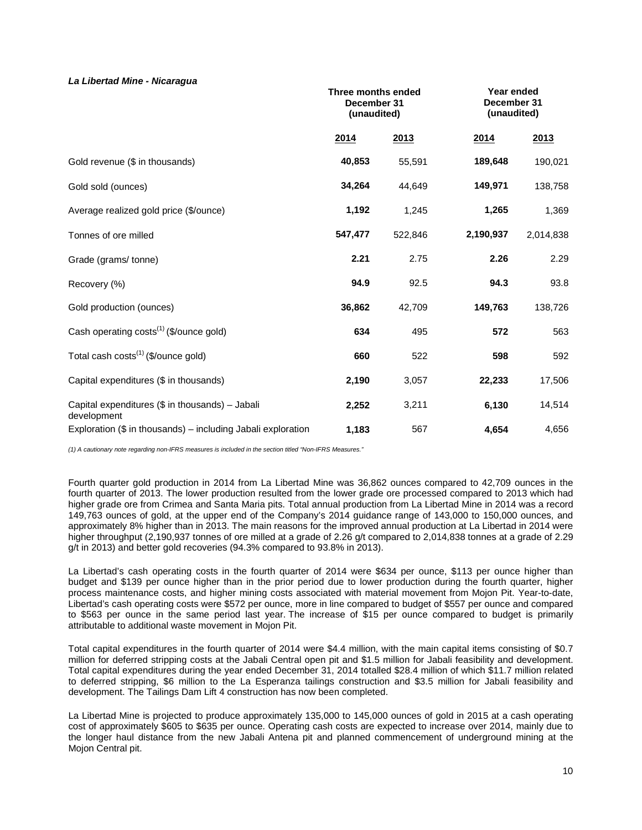# *La Libertad Mine - Nicaragua*

|                                                                | Three months ended<br>December 31<br>(unaudited) |         | Year ended<br>December 31<br>(unaudited) |           |
|----------------------------------------------------------------|--------------------------------------------------|---------|------------------------------------------|-----------|
|                                                                | 2014                                             | 2013    | 2014                                     | 2013      |
| Gold revenue (\$ in thousands)                                 | 40,853                                           | 55,591  | 189,648                                  | 190,021   |
| Gold sold (ounces)                                             | 34,264                                           | 44,649  | 149,971                                  | 138,758   |
| Average realized gold price (\$/ounce)                         | 1,192                                            | 1,245   | 1,265                                    | 1,369     |
| Tonnes of ore milled                                           | 547,477                                          | 522,846 | 2,190,937                                | 2,014,838 |
| Grade (grams/tonne)                                            | 2.21                                             | 2.75    | 2.26                                     | 2.29      |
| Recovery (%)                                                   | 94.9                                             | 92.5    | 94.3                                     | 93.8      |
| Gold production (ounces)                                       | 36,862                                           | 42,709  | 149,763                                  | 138,726   |
| Cash operating costs <sup>(1)</sup> (\$/ounce gold)            | 634                                              | 495     | 572                                      | 563       |
| Total cash costs <sup>(1)</sup> (\$/ounce gold)                | 660                                              | 522     | 598                                      | 592       |
| Capital expenditures (\$ in thousands)                         | 2,190                                            | 3,057   | 22,233                                   | 17,506    |
| Capital expenditures (\$ in thousands) - Jabali<br>development | 2,252                                            | 3,211   | 6,130                                    | 14,514    |
| Exploration $(\$$ in thousands) – including Jabali exploration | 1,183                                            | 567     | 4,654                                    | 4,656     |

*(1) A cautionary note regarding non-IFRS measures is included in the section titled "Non-IFRS Measures."* 

Fourth quarter gold production in 2014 from La Libertad Mine was 36,862 ounces compared to 42,709 ounces in the fourth quarter of 2013. The lower production resulted from the lower grade ore processed compared to 2013 which had higher grade ore from Crimea and Santa Maria pits. Total annual production from La Libertad Mine in 2014 was a record 149,763 ounces of gold, at the upper end of the Company's 2014 guidance range of 143,000 to 150,000 ounces, and approximately 8% higher than in 2013. The main reasons for the improved annual production at La Libertad in 2014 were higher throughput (2,190,937 tonnes of ore milled at a grade of 2.26 g/t compared to 2,014,838 tonnes at a grade of 2.29 g/t in 2013) and better gold recoveries (94.3% compared to 93.8% in 2013).

La Libertad's cash operating costs in the fourth quarter of 2014 were \$634 per ounce, \$113 per ounce higher than budget and \$139 per ounce higher than in the prior period due to lower production during the fourth quarter, higher process maintenance costs, and higher mining costs associated with material movement from Mojon Pit. Year-to-date, Libertad's cash operating costs were \$572 per ounce, more in line compared to budget of \$557 per ounce and compared to \$563 per ounce in the same period last year. The increase of \$15 per ounce compared to budget is primarily attributable to additional waste movement in Mojon Pit.

Total capital expenditures in the fourth quarter of 2014 were \$4.4 million, with the main capital items consisting of \$0.7 million for deferred stripping costs at the Jabali Central open pit and \$1.5 million for Jabali feasibility and development. Total capital expenditures during the year ended December 31, 2014 totalled \$28.4 million of which \$11.7 million related to deferred stripping, \$6 million to the La Esperanza tailings construction and \$3.5 million for Jabali feasibility and development. The Tailings Dam Lift 4 construction has now been completed.

La Libertad Mine is projected to produce approximately 135,000 to 145,000 ounces of gold in 2015 at a cash operating cost of approximately \$605 to \$635 per ounce. Operating cash costs are expected to increase over 2014, mainly due to the longer haul distance from the new Jabali Antena pit and planned commencement of underground mining at the Mojon Central pit.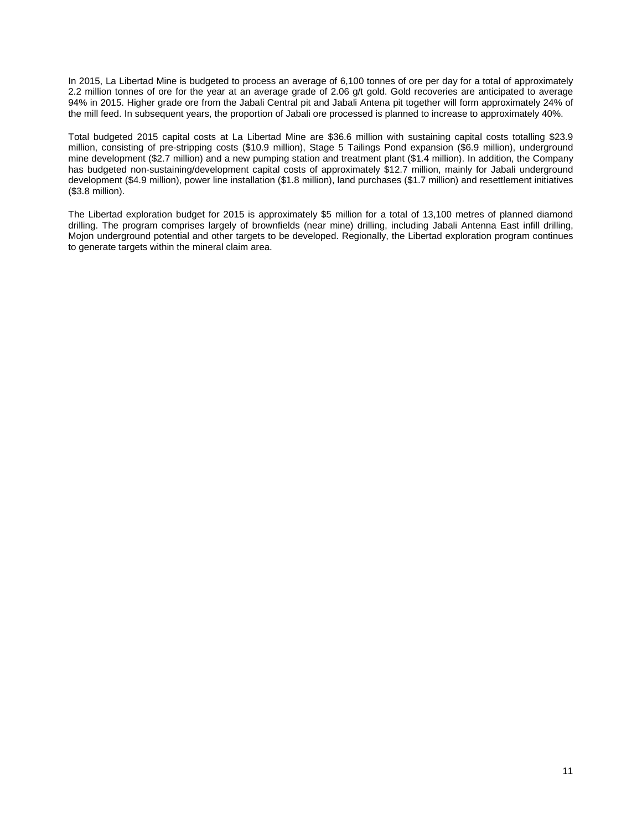In 2015, La Libertad Mine is budgeted to process an average of 6,100 tonnes of ore per day for a total of approximately 2.2 million tonnes of ore for the year at an average grade of 2.06 g/t gold. Gold recoveries are anticipated to average 94% in 2015. Higher grade ore from the Jabali Central pit and Jabali Antena pit together will form approximately 24% of the mill feed. In subsequent years, the proportion of Jabali ore processed is planned to increase to approximately 40%.

Total budgeted 2015 capital costs at La Libertad Mine are \$36.6 million with sustaining capital costs totalling \$23.9 million, consisting of pre-stripping costs (\$10.9 million), Stage 5 Tailings Pond expansion (\$6.9 million), underground mine development (\$2.7 million) and a new pumping station and treatment plant (\$1.4 million). In addition, the Company has budgeted non-sustaining/development capital costs of approximately \$12.7 million, mainly for Jabali underground development (\$4.9 million), power line installation (\$1.8 million), land purchases (\$1.7 million) and resettlement initiatives (\$3.8 million).

The Libertad exploration budget for 2015 is approximately \$5 million for a total of 13,100 metres of planned diamond drilling. The program comprises largely of brownfields (near mine) drilling, including Jabali Antenna East infill drilling, Mojon underground potential and other targets to be developed. Regionally, the Libertad exploration program continues to generate targets within the mineral claim area.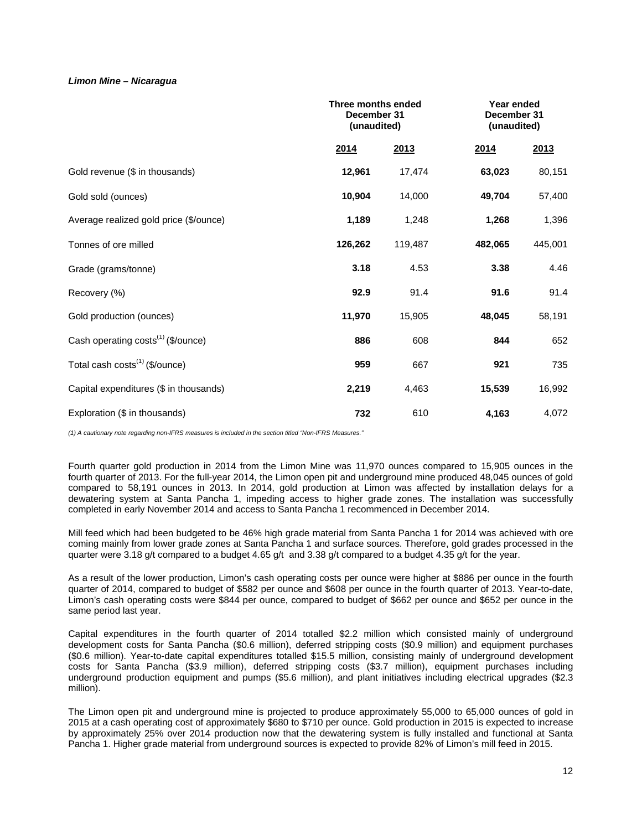# *Limon Mine – Nicaragua*

|                                                | Three months ended<br>December 31<br>(unaudited) |         |         | Year ended<br>December 31<br>(unaudited) |
|------------------------------------------------|--------------------------------------------------|---------|---------|------------------------------------------|
|                                                | 2014                                             | 2013    | 2014    | 2013                                     |
| Gold revenue (\$ in thousands)                 | 12,961                                           | 17,474  | 63,023  | 80,151                                   |
| Gold sold (ounces)                             | 10,904                                           | 14,000  | 49,704  | 57,400                                   |
| Average realized gold price (\$/ounce)         | 1,189                                            | 1,248   | 1,268   | 1,396                                    |
| Tonnes of ore milled                           | 126,262                                          | 119,487 | 482,065 | 445,001                                  |
| Grade (grams/tonne)                            | 3.18                                             | 4.53    | 3.38    | 4.46                                     |
| Recovery (%)                                   | 92.9                                             | 91.4    | 91.6    | 91.4                                     |
| Gold production (ounces)                       | 11,970                                           | 15,905  | 48,045  | 58,191                                   |
| Cash operating costs <sup>(1)</sup> (\$/ounce) | 886                                              | 608     | 844     | 652                                      |
| Total cash costs <sup>(1)</sup> (\$/ounce)     | 959                                              | 667     | 921     | 735                                      |
| Capital expenditures (\$ in thousands)         | 2,219                                            | 4,463   | 15,539  | 16,992                                   |
| Exploration (\$ in thousands)                  | 732                                              | 610     | 4,163   | 4,072                                    |

*(1) A cautionary note regarding non-IFRS measures is included in the section titled "Non-IFRS Measures."*

Fourth quarter gold production in 2014 from the Limon Mine was 11,970 ounces compared to 15,905 ounces in the fourth quarter of 2013. For the full-year 2014, the Limon open pit and underground mine produced 48,045 ounces of gold compared to 58,191 ounces in 2013. In 2014, gold production at Limon was affected by installation delays for a dewatering system at Santa Pancha 1, impeding access to higher grade zones. The installation was successfully completed in early November 2014 and access to Santa Pancha 1 recommenced in December 2014.

Mill feed which had been budgeted to be 46% high grade material from Santa Pancha 1 for 2014 was achieved with ore coming mainly from lower grade zones at Santa Pancha 1 and surface sources. Therefore, gold grades processed in the quarter were 3.18 g/t compared to a budget 4.65 g/t and 3.38 g/t compared to a budget 4.35 g/t for the year.

As a result of the lower production, Limon's cash operating costs per ounce were higher at \$886 per ounce in the fourth quarter of 2014, compared to budget of \$582 per ounce and \$608 per ounce in the fourth quarter of 2013. Year-to-date, Limon's cash operating costs were \$844 per ounce, compared to budget of \$662 per ounce and \$652 per ounce in the same period last year.

Capital expenditures in the fourth quarter of 2014 totalled \$2.2 million which consisted mainly of underground development costs for Santa Pancha (\$0.6 million), deferred stripping costs (\$0.9 million) and equipment purchases (\$0.6 million). Year-to-date capital expenditures totalled \$15.5 million, consisting mainly of underground development costs for Santa Pancha (\$3.9 million), deferred stripping costs (\$3.7 million), equipment purchases including underground production equipment and pumps (\$5.6 million), and plant initiatives including electrical upgrades (\$2.3 million).

The Limon open pit and underground mine is projected to produce approximately 55,000 to 65,000 ounces of gold in 2015 at a cash operating cost of approximately \$680 to \$710 per ounce. Gold production in 2015 is expected to increase by approximately 25% over 2014 production now that the dewatering system is fully installed and functional at Santa Pancha 1. Higher grade material from underground sources is expected to provide 82% of Limon's mill feed in 2015.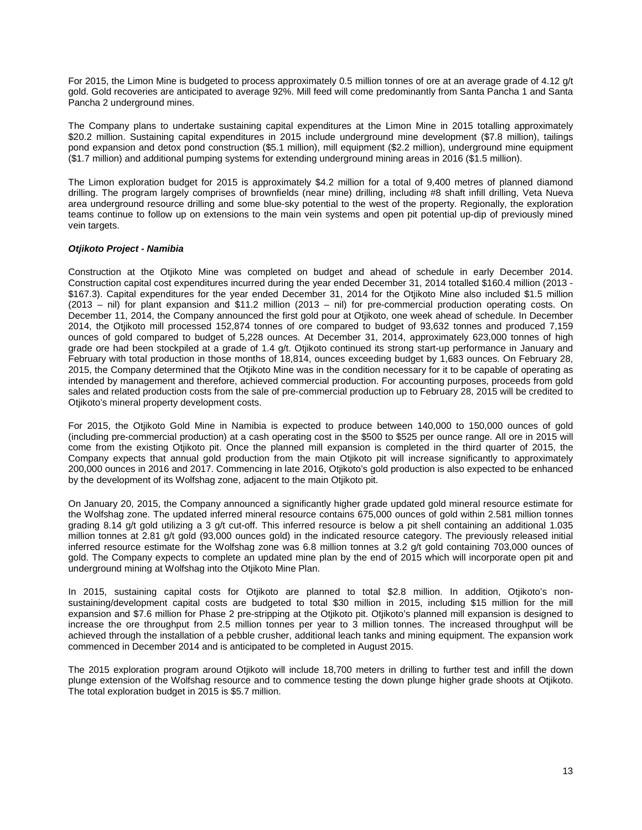For 2015, the Limon Mine is budgeted to process approximately 0.5 million tonnes of ore at an average grade of 4.12 g/t gold. Gold recoveries are anticipated to average 92%. Mill feed will come predominantly from Santa Pancha 1 and Santa Pancha 2 underground mines.

The Company plans to undertake sustaining capital expenditures at the Limon Mine in 2015 totalling approximately \$20.2 million. Sustaining capital expenditures in 2015 include underground mine development (\$7.8 million), tailings pond expansion and detox pond construction (\$5.1 million), mill equipment (\$2.2 million), underground mine equipment (\$1.7 million) and additional pumping systems for extending underground mining areas in 2016 (\$1.5 million).

The Limon exploration budget for 2015 is approximately \$4.2 million for a total of 9,400 metres of planned diamond drilling. The program largely comprises of brownfields (near mine) drilling, including #8 shaft infill drilling, Veta Nueva area underground resource drilling and some blue-sky potential to the west of the property. Regionally, the exploration teams continue to follow up on extensions to the main vein systems and open pit potential up-dip of previously mined vein targets.

# *Otjikoto Project - Namibia*

Construction at the Otjikoto Mine was completed on budget and ahead of schedule in early December 2014. Construction capital cost expenditures incurred during the year ended December 31, 2014 totalled \$160.4 million (2013 - \$167.3). Capital expenditures for the year ended December 31, 2014 for the Otjikoto Mine also included \$1.5 million (2013 – nil) for plant expansion and \$11.2 million (2013 – nil) for pre-commercial production operating costs. On December 11, 2014, the Company announced the first gold pour at Otjikoto, one week ahead of schedule. In December 2014, the Otjikoto mill processed 152,874 tonnes of ore compared to budget of 93,632 tonnes and produced 7,159 ounces of gold compared to budget of 5,228 ounces. At December 31, 2014, approximately 623,000 tonnes of high grade ore had been stockpiled at a grade of 1.4 g/t. Otjikoto continued its strong start-up performance in January and February with total production in those months of 18,814, ounces exceeding budget by 1,683 ounces. On February 28, 2015, the Company determined that the Otjikoto Mine was in the condition necessary for it to be capable of operating as intended by management and therefore, achieved commercial production. For accounting purposes, proceeds from gold sales and related production costs from the sale of pre-commercial production up to February 28, 2015 will be credited to Otjikoto's mineral property development costs.

For 2015, the Otjikoto Gold Mine in Namibia is expected to produce between 140,000 to 150,000 ounces of gold (including pre-commercial production) at a cash operating cost in the \$500 to \$525 per ounce range. All ore in 2015 will come from the existing Otjikoto pit. Once the planned mill expansion is completed in the third quarter of 2015, the Company expects that annual gold production from the main Otjikoto pit will increase significantly to approximately 200,000 ounces in 2016 and 2017. Commencing in late 2016, Otjikoto's gold production is also expected to be enhanced by the development of its Wolfshag zone, adjacent to the main Otjikoto pit.

On January 20, 2015, the Company announced a significantly higher grade updated gold mineral resource estimate for the Wolfshag zone. The updated inferred mineral resource contains 675,000 ounces of gold within 2.581 million tonnes grading 8.14 g/t gold utilizing a 3 g/t cut-off. This inferred resource is below a pit shell containing an additional 1.035 million tonnes at 2.81 g/t gold (93,000 ounces gold) in the indicated resource category. The previously released initial inferred resource estimate for the Wolfshag zone was 6.8 million tonnes at 3.2 g/t gold containing 703,000 ounces of gold. The Company expects to complete an updated mine plan by the end of 2015 which will incorporate open pit and underground mining at Wolfshag into the Otjikoto Mine Plan.

In 2015, sustaining capital costs for Otjikoto are planned to total \$2.8 million. In addition, Otjikoto's nonsustaining/development capital costs are budgeted to total \$30 million in 2015, including \$15 million for the mill expansion and \$7.6 million for Phase 2 pre-stripping at the Otjikoto pit. Otjikoto's planned mill expansion is designed to increase the ore throughput from 2.5 million tonnes per year to 3 million tonnes. The increased throughput will be achieved through the installation of a pebble crusher, additional leach tanks and mining equipment. The expansion work commenced in December 2014 and is anticipated to be completed in August 2015.

The 2015 exploration program around Otjikoto will include 18,700 meters in drilling to further test and infill the down plunge extension of the Wolfshag resource and to commence testing the down plunge higher grade shoots at Otjikoto. The total exploration budget in 2015 is \$5.7 million.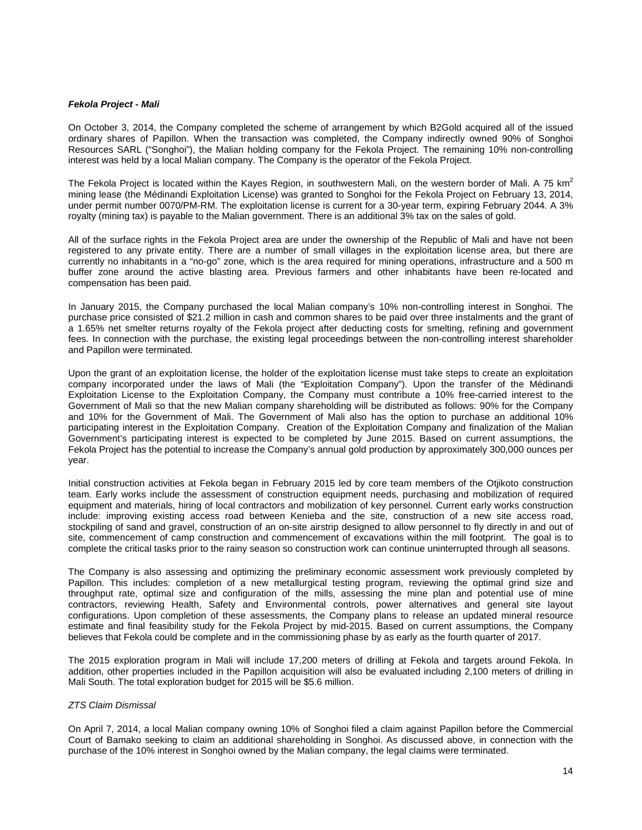### *Fekola Project - Mali*

On October 3, 2014, the Company completed the scheme of arrangement by which B2Gold acquired all of the issued ordinary shares of Papillon. When the transaction was completed, the Company indirectly owned 90% of Songhoi Resources SARL ("Songhoi"), the Malian holding company for the Fekola Project. The remaining 10% non-controlling interest was held by a local Malian company. The Company is the operator of the Fekola Project.

The Fekola Project is located within the Kayes Region, in southwestern Mali, on the western border of Mali. A 75  $km^2$ mining lease (the Médinandi Exploitation License) was granted to Songhoi for the Fekola Project on February 13, 2014, under permit number 0070/PM-RM. The exploitation license is current for a 30-year term, expiring February 2044. A 3% royalty (mining tax) is payable to the Malian government. There is an additional 3% tax on the sales of gold.

All of the surface rights in the Fekola Project area are under the ownership of the Republic of Mali and have not been registered to any private entity. There are a number of small villages in the exploitation license area, but there are currently no inhabitants in a "no-go" zone, which is the area required for mining operations, infrastructure and a 500 m buffer zone around the active blasting area. Previous farmers and other inhabitants have been re-located and compensation has been paid.

In January 2015, the Company purchased the local Malian company's 10% non-controlling interest in Songhoi. The purchase price consisted of \$21.2 million in cash and common shares to be paid over three instalments and the grant of a 1.65% net smelter returns royalty of the Fekola project after deducting costs for smelting, refining and government fees. In connection with the purchase, the existing legal proceedings between the non-controlling interest shareholder and Papillon were terminated.

Upon the grant of an exploitation license, the holder of the exploitation license must take steps to create an exploitation company incorporated under the laws of Mali (the "Exploitation Company"). Upon the transfer of the Médinandi Exploitation License to the Exploitation Company, the Company must contribute a 10% free-carried interest to the Government of Mali so that the new Malian company shareholding will be distributed as follows: 90% for the Company and 10% for the Government of Mali. The Government of Mali also has the option to purchase an additional 10% participating interest in the Exploitation Company. Creation of the Exploitation Company and finalization of the Malian Government's participating interest is expected to be completed by June 2015. Based on current assumptions, the Fekola Project has the potential to increase the Company's annual gold production by approximately 300,000 ounces per year.

Initial construction activities at Fekola began in February 2015 led by core team members of the Otjikoto construction team. Early works include the assessment of construction equipment needs, purchasing and mobilization of required equipment and materials, hiring of local contractors and mobilization of key personnel. Current early works construction include: improving existing access road between Kenieba and the site, construction of a new site access road, stockpiling of sand and gravel, construction of an on-site airstrip designed to allow personnel to fly directly in and out of site, commencement of camp construction and commencement of excavations within the mill footprint. The goal is to complete the critical tasks prior to the rainy season so construction work can continue uninterrupted through all seasons.

The Company is also assessing and optimizing the preliminary economic assessment work previously completed by Papillon. This includes: completion of a new metallurgical testing program, reviewing the optimal grind size and throughput rate, optimal size and configuration of the mills, assessing the mine plan and potential use of mine contractors, reviewing Health, Safety and Environmental controls, power alternatives and general site layout configurations. Upon completion of these assessments, the Company plans to release an updated mineral resource estimate and final feasibility study for the Fekola Project by mid-2015. Based on current assumptions, the Company believes that Fekola could be complete and in the commissioning phase by as early as the fourth quarter of 2017.

The 2015 exploration program in Mali will include 17,200 meters of drilling at Fekola and targets around Fekola. In addition, other properties included in the Papillon acquisition will also be evaluated including 2,100 meters of drilling in Mali South. The total exploration budget for 2015 will be \$5.6 million.

#### *ZTS Claim Dismissal*

On April 7, 2014, a local Malian company owning 10% of Songhoi filed a claim against Papillon before the Commercial Court of Bamako seeking to claim an additional shareholding in Songhoi. As discussed above, in connection with the purchase of the 10% interest in Songhoi owned by the Malian company, the legal claims were terminated.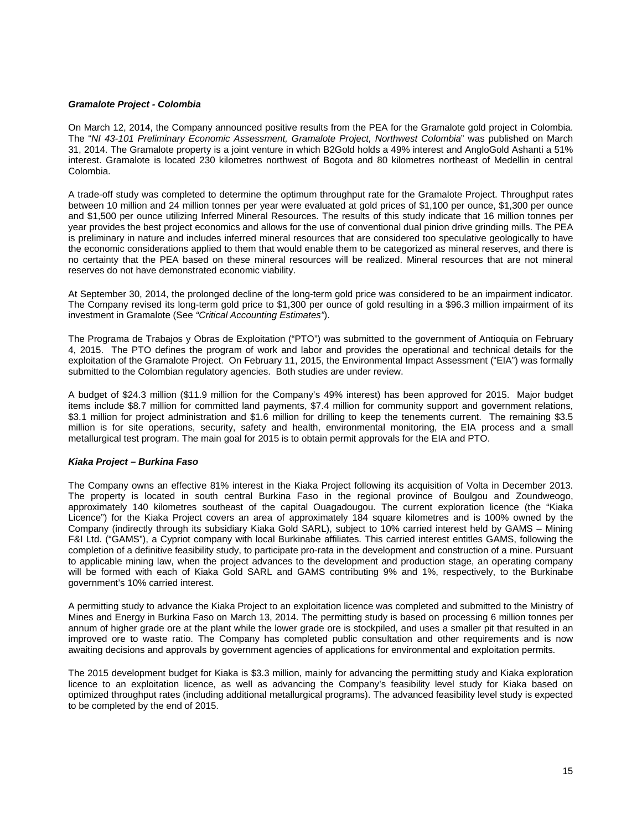### *Gramalote Project - Colombia*

On March 12, 2014, the Company announced positive results from the PEA for the Gramalote gold project in Colombia. The "*NI 43-101 Preliminary Economic Assessment, Gramalote Project, Northwest Colombia*" was published on March 31, 2014. The Gramalote property is a joint venture in which B2Gold holds a 49% interest and AngloGold Ashanti a 51% interest. Gramalote is located 230 kilometres northwest of Bogota and 80 kilometres northeast of Medellin in central Colombia.

A trade-off study was completed to determine the optimum throughput rate for the Gramalote Project. Throughput rates between 10 million and 24 million tonnes per year were evaluated at gold prices of \$1,100 per ounce, \$1,300 per ounce and \$1,500 per ounce utilizing Inferred Mineral Resources. The results of this study indicate that 16 million tonnes per year provides the best project economics and allows for the use of conventional dual pinion drive grinding mills. The PEA is preliminary in nature and includes inferred mineral resources that are considered too speculative geologically to have the economic considerations applied to them that would enable them to be categorized as mineral reserves, and there is no certainty that the PEA based on these mineral resources will be realized. Mineral resources that are not mineral reserves do not have demonstrated economic viability.

At September 30, 2014, the prolonged decline of the long-term gold price was considered to be an impairment indicator. The Company revised its long-term gold price to \$1,300 per ounce of gold resulting in a \$96.3 million impairment of its investment in Gramalote (See *"Critical Accounting Estimates"*).

The Programa de Trabajos y Obras de Exploitation ("PTO") was submitted to the government of Antioquia on February 4, 2015. The PTO defines the program of work and labor and provides the operational and technical details for the exploitation of the Gramalote Project. On February 11, 2015, the Environmental Impact Assessment ("EIA") was formally submitted to the Colombian regulatory agencies. Both studies are under review.

A budget of \$24.3 million (\$11.9 million for the Company's 49% interest) has been approved for 2015. Major budget items include \$8.7 million for committed land payments, \$7.4 million for community support and government relations, \$3.1 million for project administration and \$1.6 million for drilling to keep the tenements current. The remaining \$3.5 million is for site operations, security, safety and health, environmental monitoring, the EIA process and a small metallurgical test program. The main goal for 2015 is to obtain permit approvals for the EIA and PTO.

# *Kiaka Project – Burkina Faso*

The Company owns an effective 81% interest in the Kiaka Project following its acquisition of Volta in December 2013. The property is located in south central Burkina Faso in the regional province of Boulgou and Zoundweogo, approximately 140 kilometres southeast of the capital Ouagadougou. The current exploration licence (the "Kiaka Licence") for the Kiaka Project covers an area of approximately 184 square kilometres and is 100% owned by the Company (indirectly through its subsidiary Kiaka Gold SARL), subject to 10% carried interest held by GAMS – Mining F&I Ltd. ("GAMS"), a Cypriot company with local Burkinabe affiliates. This carried interest entitles GAMS, following the completion of a definitive feasibility study, to participate pro-rata in the development and construction of a mine. Pursuant to applicable mining law, when the project advances to the development and production stage, an operating company will be formed with each of Kiaka Gold SARL and GAMS contributing 9% and 1%, respectively, to the Burkinabe government's 10% carried interest.

A permitting study to advance the Kiaka Project to an exploitation licence was completed and submitted to the Ministry of Mines and Energy in Burkina Faso on March 13, 2014. The permitting study is based on processing 6 million tonnes per annum of higher grade ore at the plant while the lower grade ore is stockpiled, and uses a smaller pit that resulted in an improved ore to waste ratio. The Company has completed public consultation and other requirements and is now awaiting decisions and approvals by government agencies of applications for environmental and exploitation permits.

The 2015 development budget for Kiaka is \$3.3 million, mainly for advancing the permitting study and Kiaka exploration licence to an exploitation licence, as well as advancing the Company's feasibility level study for Kiaka based on optimized throughput rates (including additional metallurgical programs). The advanced feasibility level study is expected to be completed by the end of 2015.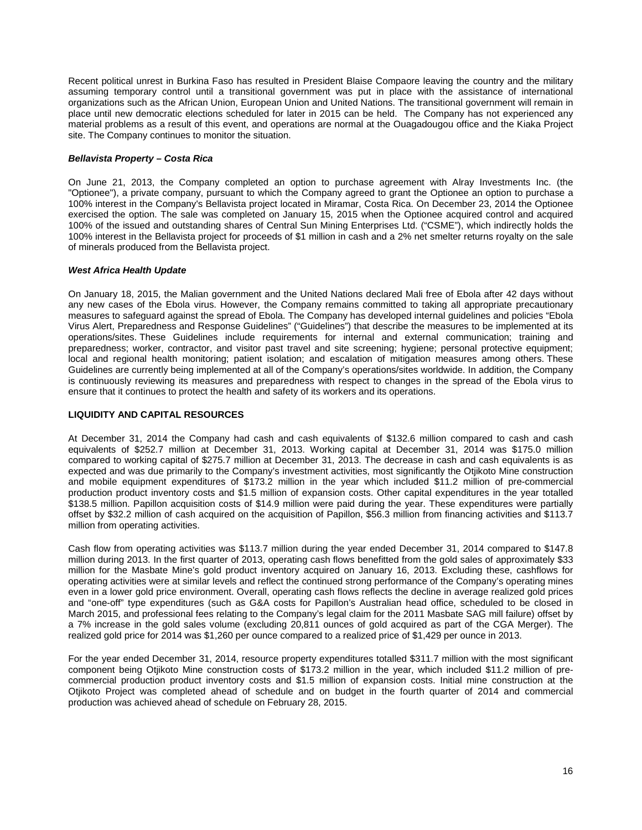Recent political unrest in Burkina Faso has resulted in President Blaise Compaore leaving the country and the military assuming temporary control until a transitional government was put in place with the assistance of international organizations such as the African Union, European Union and United Nations. The transitional government will remain in place until new democratic elections scheduled for later in 2015 can be held. The Company has not experienced any material problems as a result of this event, and operations are normal at the Ouagadougou office and the Kiaka Project site. The Company continues to monitor the situation.

# *Bellavista Property – Costa Rica*

On June 21, 2013, the Company completed an option to purchase agreement with Alray Investments Inc. (the "Optionee"), a private company, pursuant to which the Company agreed to grant the Optionee an option to purchase a 100% interest in the Company's Bellavista project located in Miramar, Costa Rica. On December 23, 2014 the Optionee exercised the option. The sale was completed on January 15, 2015 when the Optionee acquired control and acquired 100% of the issued and outstanding shares of Central Sun Mining Enterprises Ltd. ("CSME"), which indirectly holds the 100% interest in the Bellavista project for proceeds of \$1 million in cash and a 2% net smelter returns royalty on the sale of minerals produced from the Bellavista project.

# *West Africa Health Update*

On January 18, 2015, the Malian government and the United Nations declared Mali free of Ebola after 42 days without any new cases of the Ebola virus. However, the Company remains committed to taking all appropriate precautionary measures to safeguard against the spread of Ebola. The Company has developed internal guidelines and policies "Ebola Virus Alert, Preparedness and Response Guidelines" ("Guidelines") that describe the measures to be implemented at its operations/sites. These Guidelines include requirements for internal and external communication; training and preparedness; worker, contractor, and visitor past travel and site screening; hygiene; personal protective equipment; local and regional health monitoring; patient isolation; and escalation of mitigation measures among others. These Guidelines are currently being implemented at all of the Company's operations/sites worldwide. In addition, the Company is continuously reviewing its measures and preparedness with respect to changes in the spread of the Ebola virus to ensure that it continues to protect the health and safety of its workers and its operations.

# **LIQUIDITY AND CAPITAL RESOURCES**

At December 31, 2014 the Company had cash and cash equivalents of \$132.6 million compared to cash and cash equivalents of \$252.7 million at December 31, 2013. Working capital at December 31, 2014 was \$175.0 million compared to working capital of \$275.7 million at December 31, 2013. The decrease in cash and cash equivalents is as expected and was due primarily to the Company's investment activities, most significantly the Otjikoto Mine construction and mobile equipment expenditures of \$173.2 million in the year which included \$11.2 million of pre-commercial production product inventory costs and \$1.5 million of expansion costs. Other capital expenditures in the year totalled \$138.5 million. Papillon acquisition costs of \$14.9 million were paid during the year. These expenditures were partially offset by \$32.2 million of cash acquired on the acquisition of Papillon, \$56.3 million from financing activities and \$113.7 million from operating activities.

Cash flow from operating activities was \$113.7 million during the year ended December 31, 2014 compared to \$147.8 million during 2013. In the first quarter of 2013, operating cash flows benefitted from the gold sales of approximately \$33 million for the Masbate Mine's gold product inventory acquired on January 16, 2013. Excluding these, cashflows for operating activities were at similar levels and reflect the continued strong performance of the Company's operating mines even in a lower gold price environment. Overall, operating cash flows reflects the decline in average realized gold prices and "one-off" type expenditures (such as G&A costs for Papillon's Australian head office, scheduled to be closed in March 2015, and professional fees relating to the Company's legal claim for the 2011 Masbate SAG mill failure) offset by a 7% increase in the gold sales volume (excluding 20,811 ounces of gold acquired as part of the CGA Merger). The realized gold price for 2014 was \$1,260 per ounce compared to a realized price of \$1,429 per ounce in 2013.

For the year ended December 31, 2014, resource property expenditures totalled \$311.7 million with the most significant component being Otjikoto Mine construction costs of \$173.2 million in the year, which included \$11.2 million of precommercial production product inventory costs and \$1.5 million of expansion costs. Initial mine construction at the Otjikoto Project was completed ahead of schedule and on budget in the fourth quarter of 2014 and commercial production was achieved ahead of schedule on February 28, 2015.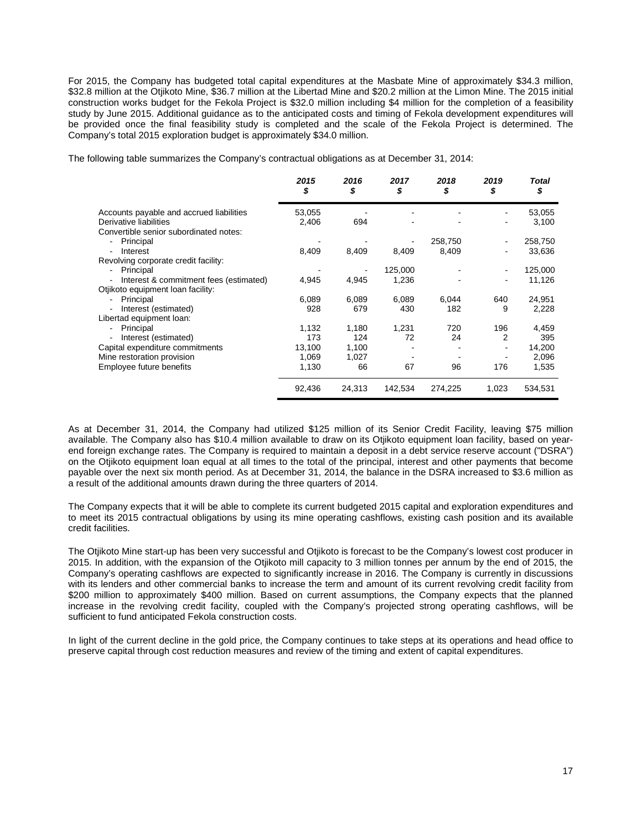For 2015, the Company has budgeted total capital expenditures at the Masbate Mine of approximately \$34.3 million, \$32.8 million at the Otjikoto Mine, \$36.7 million at the Libertad Mine and \$20.2 million at the Limon Mine. The 2015 initial construction works budget for the Fekola Project is \$32.0 million including \$4 million for the completion of a feasibility study by June 2015. Additional guidance as to the anticipated costs and timing of Fekola development expenditures will be provided once the final feasibility study is completed and the scale of the Fekola Project is determined. The Company's total 2015 exploration budget is approximately \$34.0 million.

The following table summarizes the Company's contractual obligations as at December 31, 2014:

|                                                                    | 2015<br>\$ | 2016<br>\$ | 2017<br>\$ | 2018<br>\$ | 2019<br>\$               | Total<br>\$ |
|--------------------------------------------------------------------|------------|------------|------------|------------|--------------------------|-------------|
| Accounts payable and accrued liabilities                           | 53,055     |            |            |            | $\blacksquare$           | 53,055      |
| Derivative liabilities                                             | 2,406      | 694        |            |            |                          | 3,100       |
| Convertible senior subordinated notes:                             |            |            |            |            |                          |             |
| Principal<br>-                                                     |            |            |            | 258,750    | ٠                        | 258,750     |
| Interest<br>$\overline{a}$                                         | 8,409      | 8,409      | 8,409      | 8,409      | $\overline{\phantom{a}}$ | 33,636      |
| Revolving corporate credit facility:                               |            |            |            |            |                          |             |
| Principal                                                          |            |            | 125,000    |            |                          | 125,000     |
| Interest & commitment fees (estimated)<br>$\overline{\phantom{0}}$ | 4,945      | 4,945      | 1,236      |            | ۰                        | 11,126      |
| Otjikoto equipment loan facility:                                  |            |            |            |            |                          |             |
| Principal                                                          | 6,089      | 6,089      | 6,089      | 6,044      | 640                      | 24,951      |
| Interest (estimated)<br>$\overline{a}$                             | 928        | 679        | 430        | 182        | 9                        | 2,228       |
| Libertad equipment loan:                                           |            |            |            |            |                          |             |
| Principal<br>$\overline{a}$                                        | 1,132      | 1,180      | 1,231      | 720        | 196                      | 4,459       |
| Interest (estimated)<br>-                                          | 173        | 124        | 72         | 24         | 2                        | 395         |
| Capital expenditure commitments                                    | 13,100     | 1,100      |            |            | ۰                        | 14,200      |
| Mine restoration provision                                         | 1,069      | 1,027      |            |            |                          | 2,096       |
| Employee future benefits                                           | 1,130      | 66         | 67         | 96         | 176                      | 1,535       |
|                                                                    | 92,436     | 24,313     | 142,534    | 274,225    | 1,023                    | 534,531     |

As at December 31, 2014, the Company had utilized \$125 million of its Senior Credit Facility, leaving \$75 million available. The Company also has \$10.4 million available to draw on its Otjikoto equipment loan facility, based on yearend foreign exchange rates. The Company is required to maintain a deposit in a debt service reserve account ("DSRA") on the Otjikoto equipment loan equal at all times to the total of the principal, interest and other payments that become payable over the next six month period. As at December 31, 2014, the balance in the DSRA increased to \$3.6 million as a result of the additional amounts drawn during the three quarters of 2014.

The Company expects that it will be able to complete its current budgeted 2015 capital and exploration expenditures and to meet its 2015 contractual obligations by using its mine operating cashflows, existing cash position and its available credit facilities.

The Otjikoto Mine start-up has been very successful and Otjikoto is forecast to be the Company's lowest cost producer in 2015. In addition, with the expansion of the Otjikoto mill capacity to 3 million tonnes per annum by the end of 2015, the Company's operating cashflows are expected to significantly increase in 2016. The Company is currently in discussions with its lenders and other commercial banks to increase the term and amount of its current revolving credit facility from \$200 million to approximately \$400 million. Based on current assumptions, the Company expects that the planned increase in the revolving credit facility, coupled with the Company's projected strong operating cashflows, will be sufficient to fund anticipated Fekola construction costs.

In light of the current decline in the gold price, the Company continues to take steps at its operations and head office to preserve capital through cost reduction measures and review of the timing and extent of capital expenditures.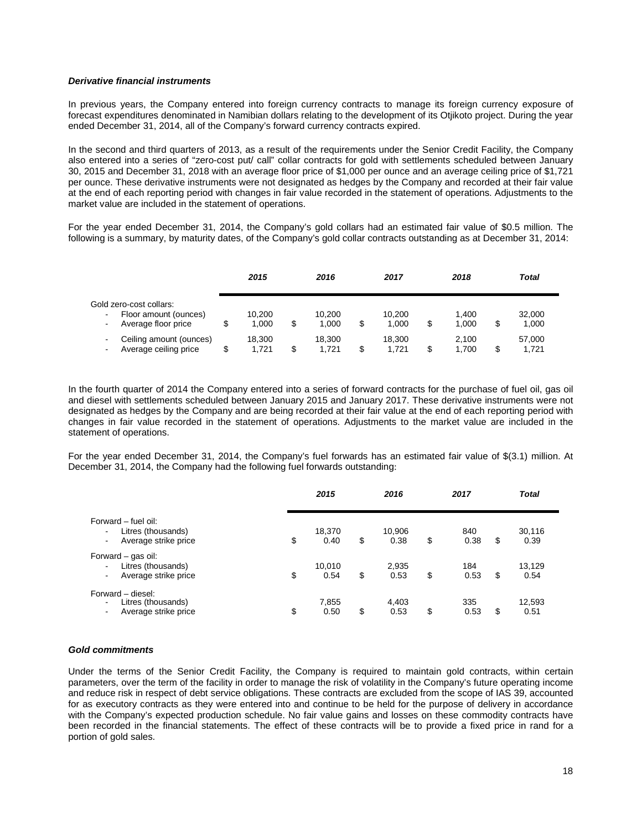### *Derivative financial instruments*

In previous years, the Company entered into foreign currency contracts to manage its foreign currency exposure of forecast expenditures denominated in Namibian dollars relating to the development of its Otjikoto project. During the year ended December 31, 2014, all of the Company's forward currency contracts expired.

In the second and third quarters of 2013, as a result of the requirements under the Senior Credit Facility, the Company also entered into a series of "zero-cost put/ call" collar contracts for gold with settlements scheduled between January 30, 2015 and December 31, 2018 with an average floor price of \$1,000 per ounce and an average ceiling price of \$1,721 per ounce. These derivative instruments were not designated as hedges by the Company and recorded at their fair value at the end of each reporting period with changes in fair value recorded in the statement of operations. Adjustments to the market value are included in the statement of operations.

For the year ended December 31, 2014, the Company's gold collars had an estimated fair value of \$0.5 million. The following is a summary, by maturity dates, of the Company's gold collar contracts outstanding as at December 31, 2014:

|                                                                                                             | 2015            | 2016                  |   | 2017            | 2018                 |   | Total           |  |
|-------------------------------------------------------------------------------------------------------------|-----------------|-----------------------|---|-----------------|----------------------|---|-----------------|--|
| Gold zero-cost collars:<br>Floor amount (ounces)<br>$\blacksquare$<br>Average floor price<br>$\blacksquare$ | 10.200<br>1.000 | \$<br>10.200<br>1.000 | S | 10.200<br>1.000 | \$<br>1.400<br>1.000 |   | 32,000<br>1,000 |  |
| Ceiling amount (ounces)<br>Average ceiling price<br>$\blacksquare$                                          | 18.300<br>1.721 | \$<br>18.300<br>1.721 | S | 18.300<br>1.721 | \$<br>2.100<br>1.700 | S | 57,000<br>1.721 |  |

In the fourth quarter of 2014 the Company entered into a series of forward contracts for the purchase of fuel oil, gas oil and diesel with settlements scheduled between January 2015 and January 2017. These derivative instruments were not designated as hedges by the Company and are being recorded at their fair value at the end of each reporting period with changes in fair value recorded in the statement of operations. Adjustments to the market value are included in the statement of operations.

For the year ended December 31, 2014, the Company's fuel forwards has an estimated fair value of \$(3.1) million. At December 31, 2014, the Company had the following fuel forwards outstanding:

|                                                                                              | 2015                 | 2016                 | 2017              |    | <b>Total</b>   |
|----------------------------------------------------------------------------------------------|----------------------|----------------------|-------------------|----|----------------|
| Forward - fuel oil:<br>Litres (thousands)<br>Average strike price                            | \$<br>18,370<br>0.40 | \$<br>10,906<br>0.38 | \$<br>840<br>0.38 | \$ | 30,116<br>0.39 |
| Forward - gas oil:<br>Litres (thousands)<br>$\overline{\phantom{0}}$<br>Average strike price | \$<br>10,010<br>0.54 | \$<br>2,935<br>0.53  | \$<br>184<br>0.53 | S  | 13,129<br>0.54 |
| Forward – diesel:<br>Litres (thousands)<br>$\overline{\phantom{0}}$<br>Average strike price  | \$<br>7.855<br>0.50  | \$<br>4,403<br>0.53  | \$<br>335<br>0.53 | S  | 12,593<br>0.51 |

#### *Gold commitments*

Under the terms of the Senior Credit Facility, the Company is required to maintain gold contracts, within certain parameters, over the term of the facility in order to manage the risk of volatility in the Company's future operating income and reduce risk in respect of debt service obligations. These contracts are excluded from the scope of IAS 39, accounted for as executory contracts as they were entered into and continue to be held for the purpose of delivery in accordance with the Company's expected production schedule. No fair value gains and losses on these commodity contracts have been recorded in the financial statements. The effect of these contracts will be to provide a fixed price in rand for a portion of gold sales.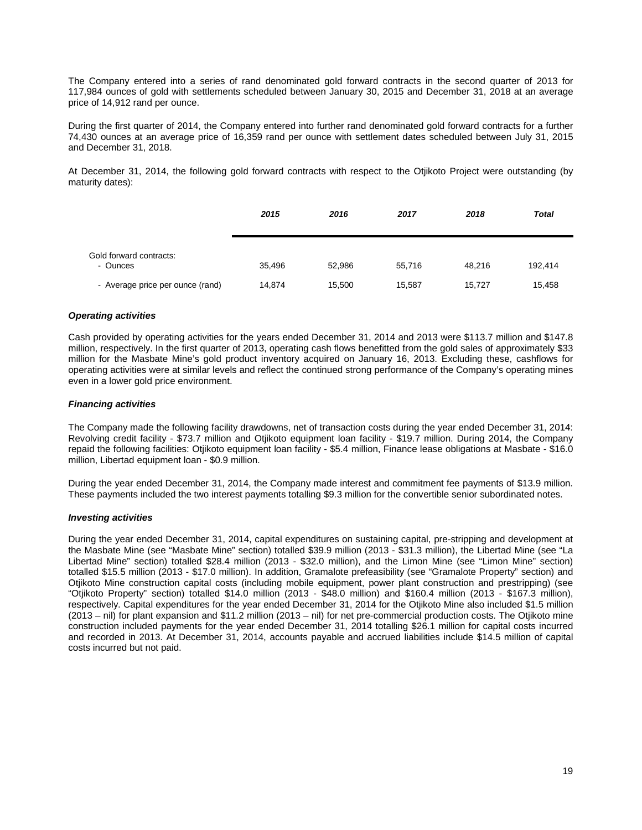The Company entered into a series of rand denominated gold forward contracts in the second quarter of 2013 for 117,984 ounces of gold with settlements scheduled between January 30, 2015 and December 31, 2018 at an average price of 14,912 rand per ounce.

During the first quarter of 2014, the Company entered into further rand denominated gold forward contracts for a further 74,430 ounces at an average price of 16,359 rand per ounce with settlement dates scheduled between July 31, 2015 and December 31, 2018.

At December 31, 2014, the following gold forward contracts with respect to the Otjikoto Project were outstanding (by maturity dates):

|                                     | 2015   | 2016   | 2017   | 2018   | <b>Total</b> |
|-------------------------------------|--------|--------|--------|--------|--------------|
| Gold forward contracts:<br>- Ounces | 35,496 | 52,986 | 55.716 | 48.216 | 192,414      |
| - Average price per ounce (rand)    | 14,874 | 15,500 | 15,587 | 15,727 | 15,458       |

# *Operating activities*

Cash provided by operating activities for the years ended December 31, 2014 and 2013 were \$113.7 million and \$147.8 million, respectively. In the first quarter of 2013, operating cash flows benefitted from the gold sales of approximately \$33 million for the Masbate Mine's gold product inventory acquired on January 16, 2013. Excluding these, cashflows for operating activities were at similar levels and reflect the continued strong performance of the Company's operating mines even in a lower gold price environment.

# *Financing activities*

The Company made the following facility drawdowns, net of transaction costs during the year ended December 31, 2014: Revolving credit facility - \$73.7 million and Otjikoto equipment loan facility - \$19.7 million. During 2014, the Company repaid the following facilities: Otjikoto equipment loan facility - \$5.4 million, Finance lease obligations at Masbate - \$16.0 million, Libertad equipment loan - \$0.9 million.

During the year ended December 31, 2014, the Company made interest and commitment fee payments of \$13.9 million. These payments included the two interest payments totalling \$9.3 million for the convertible senior subordinated notes.

# *Investing activities*

During the year ended December 31, 2014, capital expenditures on sustaining capital, pre-stripping and development at the Masbate Mine (see "Masbate Mine" section) totalled \$39.9 million (2013 - \$31.3 million), the Libertad Mine (see "La Libertad Mine" section) totalled \$28.4 million (2013 - \$32.0 million), and the Limon Mine (see "Limon Mine" section) totalled \$15.5 million (2013 - \$17.0 million). In addition, Gramalote prefeasibility (see "Gramalote Property" section) and Otjikoto Mine construction capital costs (including mobile equipment, power plant construction and prestripping) (see "Otjikoto Property" section) totalled \$14.0 million (2013 - \$48.0 million) and \$160.4 million (2013 - \$167.3 million), respectively. Capital expenditures for the year ended December 31, 2014 for the Otjikoto Mine also included \$1.5 million (2013 – nil) for plant expansion and \$11.2 million (2013 – nil) for net pre-commercial production costs. The Otjikoto mine construction included payments for the year ended December 31, 2014 totalling \$26.1 million for capital costs incurred and recorded in 2013. At December 31, 2014, accounts payable and accrued liabilities include \$14.5 million of capital costs incurred but not paid.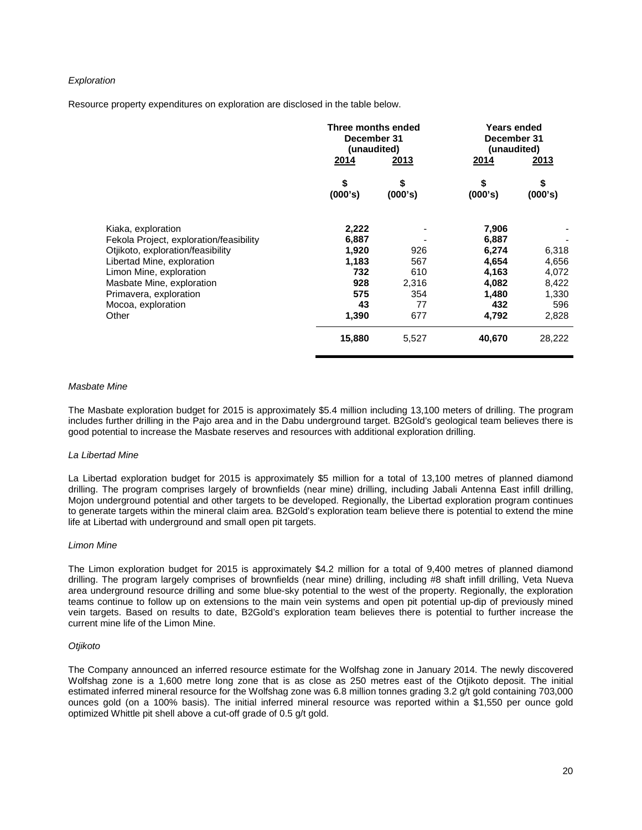# *Exploration*

Resource property expenditures on exploration are disclosed in the table below.

|                                                                                                                                                                                                                                                   | 2014                                                                 | Three months ended<br>December 31<br>(unaudited)<br><u>2013</u> |                                                                             | <b>Years ended</b><br>December 31<br>(unaudited)<br><u>2013</u> |
|---------------------------------------------------------------------------------------------------------------------------------------------------------------------------------------------------------------------------------------------------|----------------------------------------------------------------------|-----------------------------------------------------------------|-----------------------------------------------------------------------------|-----------------------------------------------------------------|
|                                                                                                                                                                                                                                                   | \$<br>(000's)                                                        | \$<br>(000's)                                                   | \$<br>(000's)                                                               | \$<br>(000's)                                                   |
| Kiaka, exploration<br>Fekola Project, exploration/feasibility<br>Otjikoto, exploration/feasibility<br>Libertad Mine, exploration<br>Limon Mine, exploration<br>Masbate Mine, exploration<br>Primavera, exploration<br>Mocoa, exploration<br>Other | 2,222<br>6,887<br>1,920<br>1,183<br>732<br>928<br>575<br>43<br>1,390 | 926<br>567<br>610<br>2,316<br>354<br>77<br>677                  | 7,906<br>6,887<br>6,274<br>4,654<br>4,163<br>4,082<br>1,480<br>432<br>4,792 | 6,318<br>4,656<br>4,072<br>8,422<br>1,330<br>596<br>2,828       |
|                                                                                                                                                                                                                                                   | 15,880                                                               | 5,527                                                           | 40,670                                                                      | 28,222                                                          |

### *Masbate Mine*

The Masbate exploration budget for 2015 is approximately \$5.4 million including 13,100 meters of drilling. The program includes further drilling in the Pajo area and in the Dabu underground target. B2Gold's geological team believes there is good potential to increase the Masbate reserves and resources with additional exploration drilling.

#### *La Libertad Mine*

La Libertad exploration budget for 2015 is approximately \$5 million for a total of 13,100 metres of planned diamond drilling. The program comprises largely of brownfields (near mine) drilling, including Jabali Antenna East infill drilling, Mojon underground potential and other targets to be developed. Regionally, the Libertad exploration program continues to generate targets within the mineral claim area. B2Gold's exploration team believe there is potential to extend the mine life at Libertad with underground and small open pit targets.

#### *Limon Mine*

The Limon exploration budget for 2015 is approximately \$4.2 million for a total of 9,400 metres of planned diamond drilling. The program largely comprises of brownfields (near mine) drilling, including #8 shaft infill drilling, Veta Nueva area underground resource drilling and some blue-sky potential to the west of the property. Regionally, the exploration teams continue to follow up on extensions to the main vein systems and open pit potential up-dip of previously mined vein targets. Based on results to date, B2Gold's exploration team believes there is potential to further increase the current mine life of the Limon Mine.

# *Otjikoto*

The Company announced an inferred resource estimate for the Wolfshag zone in January 2014. The newly discovered Wolfshag zone is a 1,600 metre long zone that is as close as 250 metres east of the Otjikoto deposit. The initial estimated inferred mineral resource for the Wolfshag zone was 6.8 million tonnes grading 3.2 g/t gold containing 703,000 ounces gold (on a 100% basis). The initial inferred mineral resource was reported within a \$1,550 per ounce gold optimized Whittle pit shell above a cut-off grade of 0.5 g/t gold.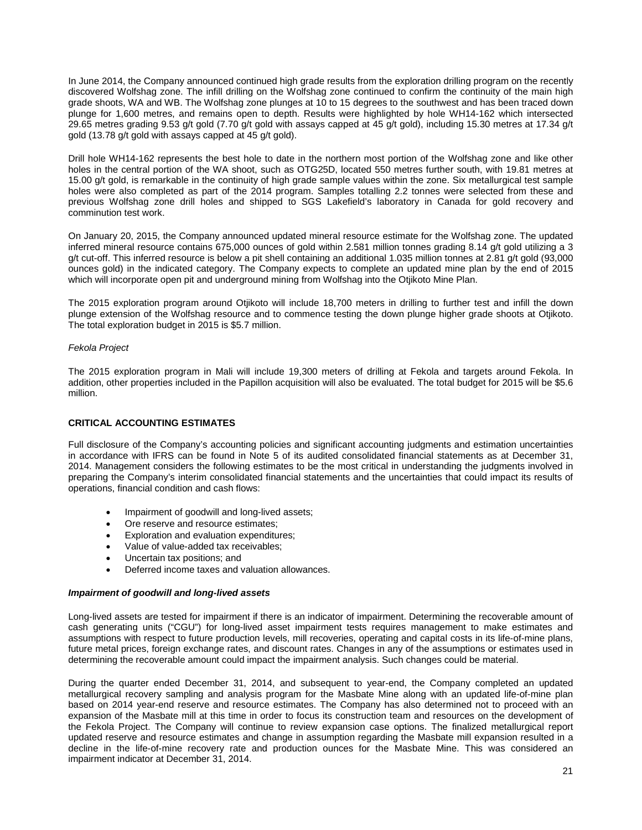In June 2014, the Company announced continued high grade results from the exploration drilling program on the recently discovered Wolfshag zone. The infill drilling on the Wolfshag zone continued to confirm the continuity of the main high grade shoots, WA and WB. The Wolfshag zone plunges at 10 to 15 degrees to the southwest and has been traced down plunge for 1,600 metres, and remains open to depth. Results were highlighted by hole WH14-162 which intersected 29.65 metres grading 9.53 g/t gold (7.70 g/t gold with assays capped at 45 g/t gold), including 15.30 metres at 17.34 g/t gold (13.78 g/t gold with assays capped at 45 g/t gold).

Drill hole WH14-162 represents the best hole to date in the northern most portion of the Wolfshag zone and like other holes in the central portion of the WA shoot, such as OTG25D, located 550 metres further south, with 19.81 metres at 15.00 g/t gold, is remarkable in the continuity of high grade sample values within the zone. Six metallurgical test sample holes were also completed as part of the 2014 program. Samples totalling 2.2 tonnes were selected from these and previous Wolfshag zone drill holes and shipped to SGS Lakefield's laboratory in Canada for gold recovery and comminution test work.

On January 20, 2015, the Company announced updated mineral resource estimate for the Wolfshag zone. The updated inferred mineral resource contains 675,000 ounces of gold within 2.581 million tonnes grading 8.14 g/t gold utilizing a 3 g/t cut-off. This inferred resource is below a pit shell containing an additional 1.035 million tonnes at 2.81 g/t gold (93,000 ounces gold) in the indicated category. The Company expects to complete an updated mine plan by the end of 2015 which will incorporate open pit and underground mining from Wolfshag into the Otjikoto Mine Plan.

The 2015 exploration program around Otjikoto will include 18,700 meters in drilling to further test and infill the down plunge extension of the Wolfshag resource and to commence testing the down plunge higher grade shoots at Otjikoto. The total exploration budget in 2015 is \$5.7 million.

# *Fekola Project*

The 2015 exploration program in Mali will include 19,300 meters of drilling at Fekola and targets around Fekola. In addition, other properties included in the Papillon acquisition will also be evaluated. The total budget for 2015 will be \$5.6 million.

# **CRITICAL ACCOUNTING ESTIMATES**

Full disclosure of the Company's accounting policies and significant accounting judgments and estimation uncertainties in accordance with IFRS can be found in Note 5 of its audited consolidated financial statements as at December 31, 2014. Management considers the following estimates to be the most critical in understanding the judgments involved in preparing the Company's interim consolidated financial statements and the uncertainties that could impact its results of operations, financial condition and cash flows:

- Impairment of goodwill and long-lived assets;
- Ore reserve and resource estimates;
- Exploration and evaluation expenditures;
- Value of value-added tax receivables;
- Uncertain tax positions; and
- Deferred income taxes and valuation allowances.

# *Impairment of goodwill and long-lived assets*

Long-lived assets are tested for impairment if there is an indicator of impairment. Determining the recoverable amount of cash generating units ("CGU") for long-lived asset impairment tests requires management to make estimates and assumptions with respect to future production levels, mill recoveries, operating and capital costs in its life-of-mine plans, future metal prices, foreign exchange rates, and discount rates. Changes in any of the assumptions or estimates used in determining the recoverable amount could impact the impairment analysis. Such changes could be material.

During the quarter ended December 31, 2014, and subsequent to year-end, the Company completed an updated metallurgical recovery sampling and analysis program for the Masbate Mine along with an updated life-of-mine plan based on 2014 year-end reserve and resource estimates. The Company has also determined not to proceed with an expansion of the Masbate mill at this time in order to focus its construction team and resources on the development of the Fekola Project. The Company will continue to review expansion case options. The finalized metallurgical report updated reserve and resource estimates and change in assumption regarding the Masbate mill expansion resulted in a decline in the life-of-mine recovery rate and production ounces for the Masbate Mine. This was considered an impairment indicator at December 31, 2014.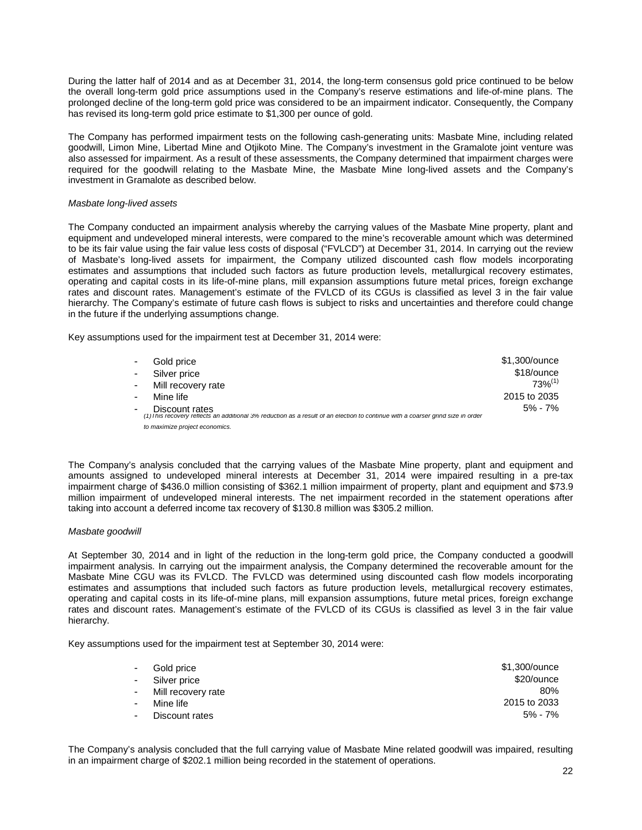During the latter half of 2014 and as at December 31, 2014, the long-term consensus gold price continued to be below the overall long-term gold price assumptions used in the Company's reserve estimations and life-of-mine plans. The prolonged decline of the long-term gold price was considered to be an impairment indicator. Consequently, the Company has revised its long-term gold price estimate to \$1,300 per ounce of gold.

The Company has performed impairment tests on the following cash-generating units: Masbate Mine, including related goodwill, Limon Mine, Libertad Mine and Otjikoto Mine. The Company's investment in the Gramalote joint venture was also assessed for impairment. As a result of these assessments, the Company determined that impairment charges were required for the goodwill relating to the Masbate Mine, the Masbate Mine long-lived assets and the Company's investment in Gramalote as described below.

### *Masbate long-lived assets*

The Company conducted an impairment analysis whereby the carrying values of the Masbate Mine property, plant and equipment and undeveloped mineral interests, were compared to the mine's recoverable amount which was determined to be its fair value using the fair value less costs of disposal ("FVLCD") at December 31, 2014. In carrying out the review of Masbate's long-lived assets for impairment, the Company utilized discounted cash flow models incorporating estimates and assumptions that included such factors as future production levels, metallurgical recovery estimates, operating and capital costs in its life-of-mine plans, mill expansion assumptions future metal prices, foreign exchange rates and discount rates. Management's estimate of the FVLCD of its CGUs is classified as level 3 in the fair value hierarchy. The Company's estimate of future cash flows is subject to risks and uncertainties and therefore could change in the future if the underlying assumptions change.

Key assumptions used for the impairment test at December 31, 2014 were:

| $\blacksquare$ | Gold price                                                                                                                                         | \$1,300/ounce |
|----------------|----------------------------------------------------------------------------------------------------------------------------------------------------|---------------|
| $\blacksquare$ | Silver price                                                                                                                                       | \$18/ounce    |
| $\sim 100$     | Mill recovery rate                                                                                                                                 | $73%^{(1)}$   |
| $\blacksquare$ | Mine life                                                                                                                                          | 2015 to 2035  |
|                | Discount rates<br>(1) I his recovery reflects an additional 3% reduction as a result of an election to continue with a coarser grind size in order | $5% - 7%$     |
|                | to maximize project economics.                                                                                                                     |               |

The Company's analysis concluded that the carrying values of the Masbate Mine property, plant and equipment and amounts assigned to undeveloped mineral interests at December 31, 2014 were impaired resulting in a pre-tax impairment charge of \$436.0 million consisting of \$362.1 million impairment of property, plant and equipment and \$73.9 million impairment of undeveloped mineral interests. The net impairment recorded in the statement operations after taking into account a deferred income tax recovery of \$130.8 million was \$305.2 million.

### *Masbate goodwill*

At September 30, 2014 and in light of the reduction in the long-term gold price, the Company conducted a goodwill impairment analysis. In carrying out the impairment analysis, the Company determined the recoverable amount for the Masbate Mine CGU was its FVLCD. The FVLCD was determined using discounted cash flow models incorporating estimates and assumptions that included such factors as future production levels, metallurgical recovery estimates, operating and capital costs in its life-of-mine plans, mill expansion assumptions, future metal prices, foreign exchange rates and discount rates. Management's estimate of the FVLCD of its CGUs is classified as level 3 in the fair value hierarchy.

Key assumptions used for the impairment test at September 30, 2014 were:

| $\sim 100$ | Gold price           | \$1,300/ounce |
|------------|----------------------|---------------|
|            | - Silver price       | \$20/ounce    |
|            | - Mill recovery rate | 80%           |
|            | - Mine life          | 2015 to 2033  |
|            | - Discount rates     | 5% - 7%       |

The Company's analysis concluded that the full carrying value of Masbate Mine related goodwill was impaired, resulting in an impairment charge of \$202.1 million being recorded in the statement of operations.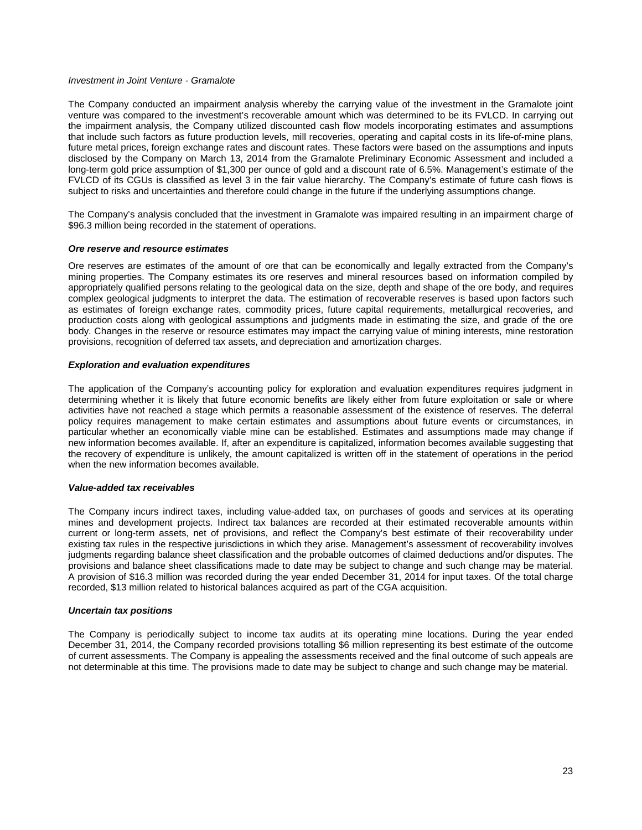### *Investment in Joint Venture - Gramalote*

The Company conducted an impairment analysis whereby the carrying value of the investment in the Gramalote joint venture was compared to the investment's recoverable amount which was determined to be its FVLCD. In carrying out the impairment analysis, the Company utilized discounted cash flow models incorporating estimates and assumptions that include such factors as future production levels, mill recoveries, operating and capital costs in its life-of-mine plans, future metal prices, foreign exchange rates and discount rates. These factors were based on the assumptions and inputs disclosed by the Company on March 13, 2014 from the Gramalote Preliminary Economic Assessment and included a long-term gold price assumption of \$1,300 per ounce of gold and a discount rate of 6.5%. Management's estimate of the FVLCD of its CGUs is classified as level 3 in the fair value hierarchy. The Company's estimate of future cash flows is subject to risks and uncertainties and therefore could change in the future if the underlying assumptions change.

The Company's analysis concluded that the investment in Gramalote was impaired resulting in an impairment charge of \$96.3 million being recorded in the statement of operations.

### *Ore reserve and resource estimates*

Ore reserves are estimates of the amount of ore that can be economically and legally extracted from the Company's mining properties. The Company estimates its ore reserves and mineral resources based on information compiled by appropriately qualified persons relating to the geological data on the size, depth and shape of the ore body, and requires complex geological judgments to interpret the data. The estimation of recoverable reserves is based upon factors such as estimates of foreign exchange rates, commodity prices, future capital requirements, metallurgical recoveries, and production costs along with geological assumptions and judgments made in estimating the size, and grade of the ore body. Changes in the reserve or resource estimates may impact the carrying value of mining interests, mine restoration provisions, recognition of deferred tax assets, and depreciation and amortization charges.

### *Exploration and evaluation expenditures*

The application of the Company's accounting policy for exploration and evaluation expenditures requires judgment in determining whether it is likely that future economic benefits are likely either from future exploitation or sale or where activities have not reached a stage which permits a reasonable assessment of the existence of reserves. The deferral policy requires management to make certain estimates and assumptions about future events or circumstances, in particular whether an economically viable mine can be established. Estimates and assumptions made may change if new information becomes available. If, after an expenditure is capitalized, information becomes available suggesting that the recovery of expenditure is unlikely, the amount capitalized is written off in the statement of operations in the period when the new information becomes available.

#### *Value-added tax receivables*

The Company incurs indirect taxes, including value-added tax, on purchases of goods and services at its operating mines and development projects. Indirect tax balances are recorded at their estimated recoverable amounts within current or long-term assets, net of provisions, and reflect the Company's best estimate of their recoverability under existing tax rules in the respective jurisdictions in which they arise. Management's assessment of recoverability involves judgments regarding balance sheet classification and the probable outcomes of claimed deductions and/or disputes. The provisions and balance sheet classifications made to date may be subject to change and such change may be material. A provision of \$16.3 million was recorded during the year ended December 31, 2014 for input taxes. Of the total charge recorded, \$13 million related to historical balances acquired as part of the CGA acquisition.

#### *Uncertain tax positions*

The Company is periodically subject to income tax audits at its operating mine locations. During the year ended December 31, 2014, the Company recorded provisions totalling \$6 million representing its best estimate of the outcome of current assessments. The Company is appealing the assessments received and the final outcome of such appeals are not determinable at this time. The provisions made to date may be subject to change and such change may be material.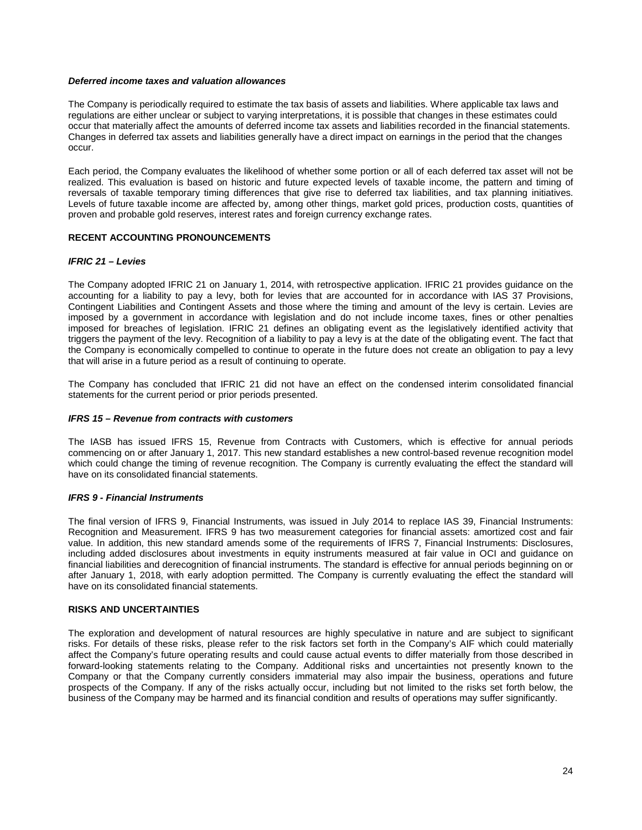### *Deferred income taxes and valuation allowances*

The Company is periodically required to estimate the tax basis of assets and liabilities. Where applicable tax laws and regulations are either unclear or subject to varying interpretations, it is possible that changes in these estimates could occur that materially affect the amounts of deferred income tax assets and liabilities recorded in the financial statements. Changes in deferred tax assets and liabilities generally have a direct impact on earnings in the period that the changes occur.

Each period, the Company evaluates the likelihood of whether some portion or all of each deferred tax asset will not be realized. This evaluation is based on historic and future expected levels of taxable income, the pattern and timing of reversals of taxable temporary timing differences that give rise to deferred tax liabilities, and tax planning initiatives. Levels of future taxable income are affected by, among other things, market gold prices, production costs, quantities of proven and probable gold reserves, interest rates and foreign currency exchange rates.

# **RECENT ACCOUNTING PRONOUNCEMENTS**

# *IFRIC 21 – Levies*

The Company adopted IFRIC 21 on January 1, 2014, with retrospective application. IFRIC 21 provides guidance on the accounting for a liability to pay a levy, both for levies that are accounted for in accordance with IAS 37 Provisions, Contingent Liabilities and Contingent Assets and those where the timing and amount of the levy is certain. Levies are imposed by a government in accordance with legislation and do not include income taxes, fines or other penalties imposed for breaches of legislation. IFRIC 21 defines an obligating event as the legislatively identified activity that triggers the payment of the levy. Recognition of a liability to pay a levy is at the date of the obligating event. The fact that the Company is economically compelled to continue to operate in the future does not create an obligation to pay a levy that will arise in a future period as a result of continuing to operate.

The Company has concluded that IFRIC 21 did not have an effect on the condensed interim consolidated financial statements for the current period or prior periods presented.

### *IFRS 15 – Revenue from contracts with customers*

The IASB has issued IFRS 15, Revenue from Contracts with Customers, which is effective for annual periods commencing on or after January 1, 2017. This new standard establishes a new control-based revenue recognition model which could change the timing of revenue recognition. The Company is currently evaluating the effect the standard will have on its consolidated financial statements.

# *IFRS 9 - Financial Instruments*

The final version of IFRS 9, Financial Instruments, was issued in July 2014 to replace IAS 39, Financial Instruments: Recognition and Measurement. IFRS 9 has two measurement categories for financial assets: amortized cost and fair value. In addition, this new standard amends some of the requirements of IFRS 7, Financial Instruments: Disclosures, including added disclosures about investments in equity instruments measured at fair value in OCI and guidance on financial liabilities and derecognition of financial instruments. The standard is effective for annual periods beginning on or after January 1, 2018, with early adoption permitted. The Company is currently evaluating the effect the standard will have on its consolidated financial statements.

#### **RISKS AND UNCERTAINTIES**

The exploration and development of natural resources are highly speculative in nature and are subject to significant risks. For details of these risks, please refer to the risk factors set forth in the Company's AIF which could materially affect the Company's future operating results and could cause actual events to differ materially from those described in forward-looking statements relating to the Company. Additional risks and uncertainties not presently known to the Company or that the Company currently considers immaterial may also impair the business, operations and future prospects of the Company. If any of the risks actually occur, including but not limited to the risks set forth below, the business of the Company may be harmed and its financial condition and results of operations may suffer significantly.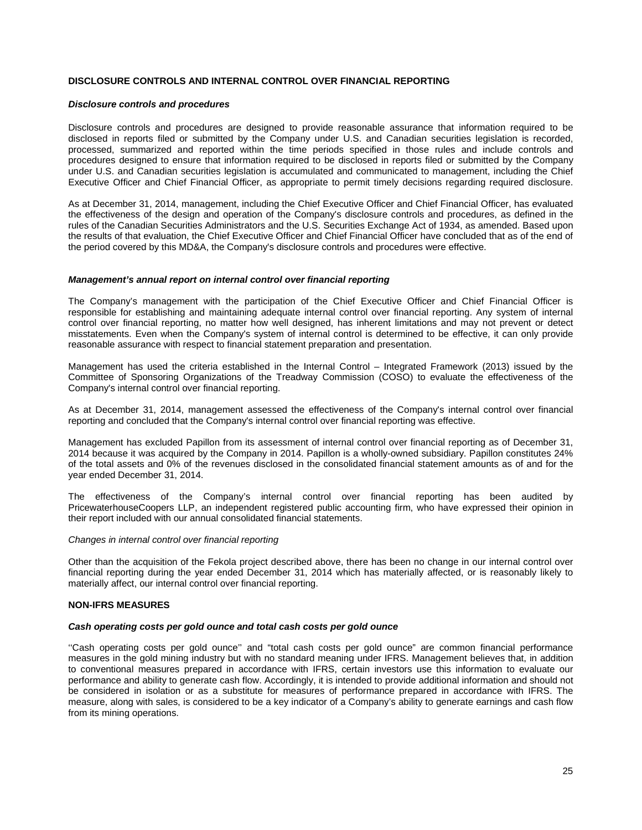# **DISCLOSURE CONTROLS AND INTERNAL CONTROL OVER FINANCIAL REPORTING**

#### *Disclosure controls and procedures*

Disclosure controls and procedures are designed to provide reasonable assurance that information required to be disclosed in reports filed or submitted by the Company under U.S. and Canadian securities legislation is recorded, processed, summarized and reported within the time periods specified in those rules and include controls and procedures designed to ensure that information required to be disclosed in reports filed or submitted by the Company under U.S. and Canadian securities legislation is accumulated and communicated to management, including the Chief Executive Officer and Chief Financial Officer, as appropriate to permit timely decisions regarding required disclosure.

As at December 31, 2014, management, including the Chief Executive Officer and Chief Financial Officer, has evaluated the effectiveness of the design and operation of the Company's disclosure controls and procedures, as defined in the rules of the Canadian Securities Administrators and the U.S. Securities Exchange Act of 1934, as amended. Based upon the results of that evaluation, the Chief Executive Officer and Chief Financial Officer have concluded that as of the end of the period covered by this MD&A, the Company's disclosure controls and procedures were effective.

### *Management's annual report on internal control over financial reporting*

The Company's management with the participation of the Chief Executive Officer and Chief Financial Officer is responsible for establishing and maintaining adequate internal control over financial reporting. Any system of internal control over financial reporting, no matter how well designed, has inherent limitations and may not prevent or detect misstatements. Even when the Company's system of internal control is determined to be effective, it can only provide reasonable assurance with respect to financial statement preparation and presentation.

Management has used the criteria established in the Internal Control – Integrated Framework (2013) issued by the Committee of Sponsoring Organizations of the Treadway Commission (COSO) to evaluate the effectiveness of the Company's internal control over financial reporting.

As at December 31, 2014, management assessed the effectiveness of the Company's internal control over financial reporting and concluded that the Company's internal control over financial reporting was effective.

Management has excluded Papillon from its assessment of internal control over financial reporting as of December 31, 2014 because it was acquired by the Company in 2014. Papillon is a wholly-owned subsidiary. Papillon constitutes 24% of the total assets and 0% of the revenues disclosed in the consolidated financial statement amounts as of and for the year ended December 31, 2014.

The effectiveness of the Company's internal control over financial reporting has been audited by PricewaterhouseCoopers LLP, an independent registered public accounting firm, who have expressed their opinion in their report included with our annual consolidated financial statements.

#### *Changes in internal control over financial reporting*

Other than the acquisition of the Fekola project described above, there has been no change in our internal control over financial reporting during the year ended December 31, 2014 which has materially affected, or is reasonably likely to materially affect, our internal control over financial reporting.

# **NON-IFRS MEASURES**

#### *Cash operating costs per gold ounce and total cash costs per gold ounce*

''Cash operating costs per gold ounce'' and "total cash costs per gold ounce" are common financial performance measures in the gold mining industry but with no standard meaning under IFRS. Management believes that, in addition to conventional measures prepared in accordance with IFRS, certain investors use this information to evaluate our performance and ability to generate cash flow. Accordingly, it is intended to provide additional information and should not be considered in isolation or as a substitute for measures of performance prepared in accordance with IFRS. The measure, along with sales, is considered to be a key indicator of a Company's ability to generate earnings and cash flow from its mining operations.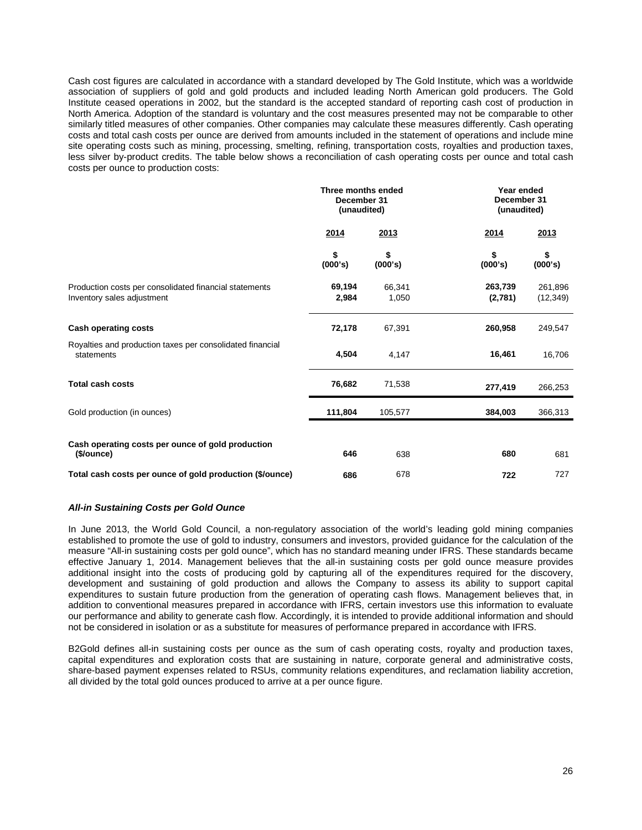Cash cost figures are calculated in accordance with a standard developed by The Gold Institute, which was a worldwide association of suppliers of gold and gold products and included leading North American gold producers. The Gold Institute ceased operations in 2002, but the standard is the accepted standard of reporting cash cost of production in North America. Adoption of the standard is voluntary and the cost measures presented may not be comparable to other similarly titled measures of other companies. Other companies may calculate these measures differently. Cash operating costs and total cash costs per ounce are derived from amounts included in the statement of operations and include mine site operating costs such as mining, processing, smelting, refining, transportation costs, royalties and production taxes, less silver by-product credits. The table below shows a reconciliation of cash operating costs per ounce and total cash costs per ounce to production costs:

|                                                                                      | Three months ended<br>December 31<br>(unaudited) |                 | Year ended<br>December 31<br>(unaudited) |                      |  |
|--------------------------------------------------------------------------------------|--------------------------------------------------|-----------------|------------------------------------------|----------------------|--|
|                                                                                      | 2014                                             | 2013            | <u>2014</u>                              | 2013                 |  |
|                                                                                      | \$<br>(000's)                                    | \$<br>(000's)   | \$<br>(000's)                            | \$<br>(000's)        |  |
| Production costs per consolidated financial statements<br>Inventory sales adjustment | 69,194<br>2,984                                  | 66,341<br>1,050 | 263,739<br>(2,781)                       | 261,896<br>(12, 349) |  |
| <b>Cash operating costs</b>                                                          | 72,178                                           | 67,391          | 260,958                                  | 249,547              |  |
| Royalties and production taxes per consolidated financial<br>statements              | 4,504                                            | 4,147           | 16,461                                   | 16,706               |  |
| <b>Total cash costs</b>                                                              | 76,682                                           | 71,538          | 277,419                                  | 266,253              |  |
| Gold production (in ounces)                                                          | 111,804                                          | 105,577         | 384,003                                  | 366,313              |  |
| Cash operating costs per ounce of gold production<br>(\$/ounce)                      | 646                                              | 638             | 680                                      | 681                  |  |
| Total cash costs per ounce of gold production (\$/ounce)                             | 686                                              | 678             | 722                                      | 727                  |  |

# *All-in Sustaining Costs per Gold Ounce*

In June 2013, the World Gold Council, a non-regulatory association of the world's leading gold mining companies established to promote the use of gold to industry, consumers and investors, provided guidance for the calculation of the measure "All-in sustaining costs per gold ounce", which has no standard meaning under IFRS. These standards became effective January 1, 2014. Management believes that the all-in sustaining costs per gold ounce measure provides additional insight into the costs of producing gold by capturing all of the expenditures required for the discovery, development and sustaining of gold production and allows the Company to assess its ability to support capital expenditures to sustain future production from the generation of operating cash flows. Management believes that, in addition to conventional measures prepared in accordance with IFRS, certain investors use this information to evaluate our performance and ability to generate cash flow. Accordingly, it is intended to provide additional information and should not be considered in isolation or as a substitute for measures of performance prepared in accordance with IFRS.

B2Gold defines all-in sustaining costs per ounce as the sum of cash operating costs, royalty and production taxes, capital expenditures and exploration costs that are sustaining in nature, corporate general and administrative costs, share-based payment expenses related to RSUs, community relations expenditures, and reclamation liability accretion, all divided by the total gold ounces produced to arrive at a per ounce figure.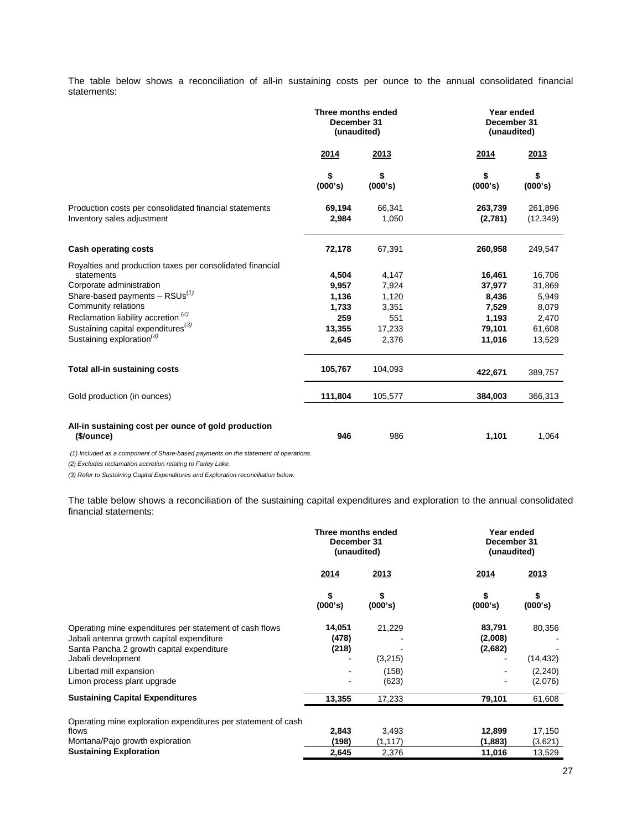The table below shows a reconciliation of all-in sustaining costs per ounce to the annual consolidated financial statements:

|                                                                                      | Three months ended<br>December 31<br>(unaudited) |                 |                    | Year ended<br>December 31<br>(unaudited) |  |
|--------------------------------------------------------------------------------------|--------------------------------------------------|-----------------|--------------------|------------------------------------------|--|
|                                                                                      | 2013<br>2014                                     |                 | 2014               | 2013                                     |  |
|                                                                                      | \$<br>(000's)                                    | \$<br>(000's)   | \$<br>(000's)      | \$<br>(000's)                            |  |
| Production costs per consolidated financial statements<br>Inventory sales adjustment | 69,194<br>2,984                                  | 66,341<br>1,050 | 263,739<br>(2,781) | 261,896<br>(12, 349)                     |  |
| <b>Cash operating costs</b>                                                          | 72,178                                           | 67,391          | 260,958            | 249,547                                  |  |
| Royalties and production taxes per consolidated financial<br>statements              | 4,504                                            | 4,147           | 16,461             | 16,706                                   |  |
| Corporate administration                                                             | 9,957                                            | 7,924           | 37,977             | 31,869                                   |  |
| Share-based payments $-$ RSUs <sup>(1)</sup>                                         | 1,136                                            | 1,120           | 8,436              | 5,949                                    |  |
| Community relations                                                                  | 1,733                                            | 3,351           | 7,529              | 8,079                                    |  |
| Reclamation liability accretion <sup>(2)</sup>                                       | 259                                              | 551             | 1,193              | 2,470                                    |  |
| Sustaining capital expenditures <sup>(3)</sup>                                       | 13,355                                           | 17,233          | 79,101             | 61,608                                   |  |
| Sustaining exploration <sup>(3)</sup>                                                | 2,645                                            | 2,376           | 11,016             | 13,529                                   |  |
| Total all-in sustaining costs                                                        | 105,767                                          | 104,093         | 422,671            | 389,757                                  |  |
| Gold production (in ounces)                                                          | 111,804                                          | 105,577         | 384,003            | 366,313                                  |  |
| All-in sustaining cost per ounce of gold production<br>(\$/ounce)                    | 946                                              | 986             | 1,101              | 1,064                                    |  |

*(1) Included as a component of Share-based payments on the statement of operations.* 

*(2) Excludes reclamation accretion relating to Farley Lake.* 

*(3) Refer to Sustaining Capital Expenditures and Exploration reconciliation below.*

The table below shows a reconciliation of the sustaining capital expenditures and exploration to the annual consolidated financial statements:

|                                                                                                                                                                         | Three months ended<br>December 31<br>(unaudited) |                   |                              | Year ended<br>December 31<br>(unaudited) |  |  |
|-------------------------------------------------------------------------------------------------------------------------------------------------------------------------|--------------------------------------------------|-------------------|------------------------------|------------------------------------------|--|--|
|                                                                                                                                                                         | <u>2014</u>                                      | <u>2013</u>       | <u>2014</u>                  | 2013                                     |  |  |
|                                                                                                                                                                         | \$<br>(000's)                                    | \$<br>(000's)     | \$<br>(000's)                | \$<br>(000's)                            |  |  |
| Operating mine expenditures per statement of cash flows<br>Jabali antenna growth capital expenditure<br>Santa Pancha 2 growth capital expenditure<br>Jabali development | 14,051<br>(478)<br>(218)                         | 21,229<br>(3,215) | 83,791<br>(2,008)<br>(2,682) | 80,356<br>(14, 432)                      |  |  |
| Libertad mill expansion<br>Limon process plant upgrade                                                                                                                  | ۰                                                | (158)<br>(623)    |                              | (2, 240)<br>(2,076)                      |  |  |
| <b>Sustaining Capital Expenditures</b>                                                                                                                                  | 13,355                                           | 17,233            | 79,101                       | 61,608                                   |  |  |
| Operating mine exploration expenditures per statement of cash<br>flows                                                                                                  | 2,843                                            | 3,493             | 12,899                       | 17,150                                   |  |  |
| Montana/Pajo growth exploration<br><b>Sustaining Exploration</b>                                                                                                        | (198)<br>2,645                                   | (1, 117)<br>2,376 | (1, 883)<br>11,016           | (3,621)<br>13,529                        |  |  |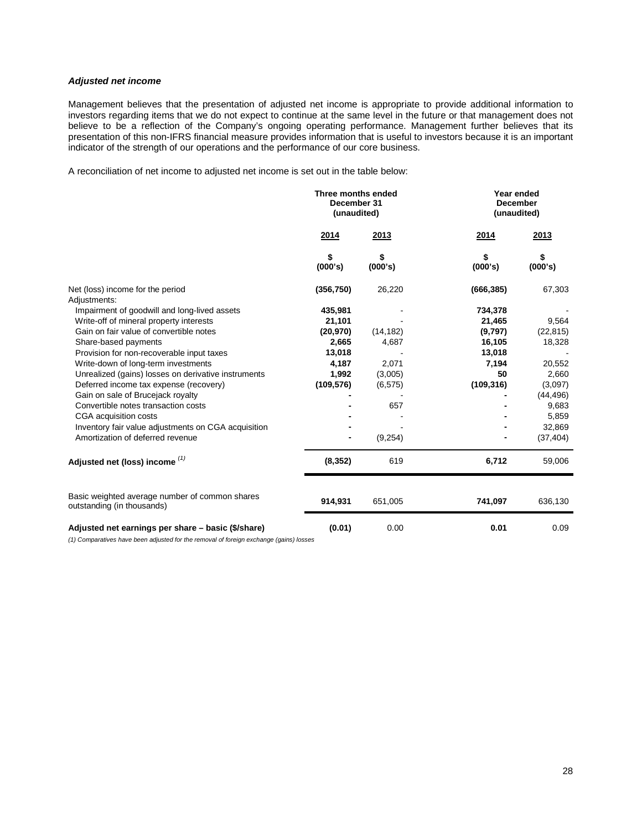# *Adjusted net income*

Management believes that the presentation of adjusted net income is appropriate to provide additional information to investors regarding items that we do not expect to continue at the same level in the future or that management does not believe to be a reflection of the Company's ongoing operating performance. Management further believes that its presentation of this non-IFRS financial measure provides information that is useful to investors because it is an important indicator of the strength of our operations and the performance of our core business.

A reconciliation of net income to adjusted net income is set out in the table below:

|                                                                              | Three months ended<br>December 31<br>(unaudited) |               |               | Year ended<br><b>December</b><br>(unaudited) |  |
|------------------------------------------------------------------------------|--------------------------------------------------|---------------|---------------|----------------------------------------------|--|
|                                                                              | 2014                                             | 2013          | 2014          | 2013                                         |  |
|                                                                              | \$<br>(000's)                                    | \$<br>(000's) | \$<br>(000's) | \$<br>(000's)                                |  |
| Net (loss) income for the period                                             | (356, 750)                                       | 26,220        | (666, 385)    | 67,303                                       |  |
| Adjustments:                                                                 |                                                  |               |               |                                              |  |
| Impairment of goodwill and long-lived assets                                 | 435,981                                          |               | 734,378       |                                              |  |
| Write-off of mineral property interests                                      | 21,101                                           |               | 21,465        | 9,564                                        |  |
| Gain on fair value of convertible notes                                      | (20, 970)                                        | (14, 182)     | (9,797)       | (22, 815)                                    |  |
| Share-based payments                                                         | 2,665                                            | 4,687         | 16,105        | 18,328                                       |  |
| Provision for non-recoverable input taxes                                    | 13,018                                           |               | 13,018        |                                              |  |
| Write-down of long-term investments                                          | 4,187                                            | 2,071         | 7,194         | 20,552                                       |  |
| Unrealized (gains) losses on derivative instruments                          | 1,992                                            | (3,005)       | 50            | 2,660                                        |  |
| Deferred income tax expense (recovery)                                       | (109, 576)                                       | (6, 575)      | (109, 316)    | (3,097)                                      |  |
| Gain on sale of Brucejack royalty                                            |                                                  |               |               | (44, 496)                                    |  |
| Convertible notes transaction costs                                          |                                                  | 657           |               | 9,683                                        |  |
| CGA acquisition costs                                                        |                                                  |               |               | 5,859                                        |  |
| Inventory fair value adjustments on CGA acquisition                          |                                                  |               |               | 32,869                                       |  |
| Amortization of deferred revenue                                             |                                                  | (9,254)       |               | (37, 404)                                    |  |
| Adjusted net (loss) income (1)                                               | (8, 352)                                         | 619           | 6,712         | 59,006                                       |  |
| Basic weighted average number of common shares<br>outstanding (in thousands) | 914,931                                          | 651,005       | 741,097       | 636,130                                      |  |
| Adjusted net earnings per share – basic (\$/share)                           | (0.01)                                           | 0.00          | 0.01          | 0.09                                         |  |

*(1) Comparatives have been adjusted for the removal of foreign exchange (gains) losses*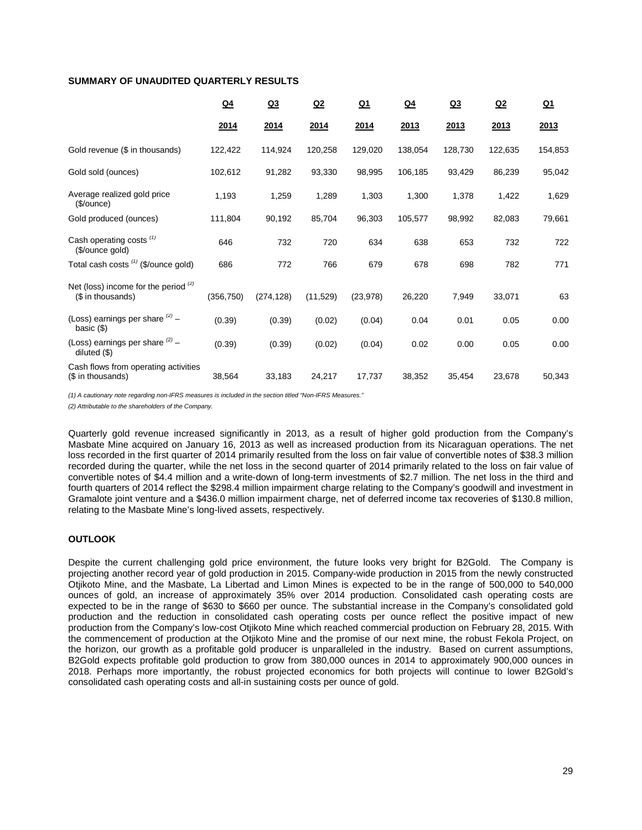# **SUMMARY OF UNAUDITED QUARTERLY RESULTS**

|                                                             | Q <sub>4</sub> | Q <sub>3</sub> | Q <sub>2</sub> | <u>Q1</u> | $Q_4$   | Q <sub>3</sub> | Q <sub>2</sub> | $Q_1$   |
|-------------------------------------------------------------|----------------|----------------|----------------|-----------|---------|----------------|----------------|---------|
|                                                             | 2014           | 2014           | 2014           | 2014      | 2013    | 2013           | 2013           | 2013    |
| Gold revenue (\$ in thousands)                              | 122,422        | 114,924        | 120,258        | 129,020   | 138,054 | 128,730        | 122,635        | 154,853 |
| Gold sold (ounces)                                          | 102,612        | 91,282         | 93,330         | 98,995    | 106,185 | 93,429         | 86,239         | 95,042  |
| Average realized gold price<br>(\$/ounce)                   | 1,193          | 1,259          | 1,289          | 1,303     | 1,300   | 1,378          | 1,422          | 1,629   |
| Gold produced (ounces)                                      | 111,804        | 90,192         | 85,704         | 96,303    | 105,577 | 98,992         | 82,083         | 79,661  |
| Cash operating costs <sup>(1)</sup><br>(\$/ounce gold)      | 646            | 732            | 720            | 634       | 638     | 653            | 732            | 722     |
| Total cash costs (1) (\$/ounce gold)                        | 686            | 772            | 766            | 679       | 678     | 698            | 782            | 771     |
| Net (loss) income for the period $(2)$<br>(\$ in thousands) | (356, 750)     | (274, 128)     | (11,529)       | (23, 978) | 26,220  | 7,949          | 33,071         | 63      |
| (Loss) earnings per share $(2)$ -<br>basic $(\$)$           | (0.39)         | (0.39)         | (0.02)         | (0.04)    | 0.04    | 0.01           | 0.05           | 0.00    |
| (Loss) earnings per share $(2)$ -<br>diluted $(\$)$         | (0.39)         | (0.39)         | (0.02)         | (0.04)    | 0.02    | 0.00           | 0.05           | 0.00    |
| Cash flows from operating activities<br>(\$ in thousands)   | 38,564         | 33,183         | 24,217         | 17,737    | 38,352  | 35,454         | 23,678         | 50,343  |

*(1) A cautionary note regarding non-IFRS measures is included in the section titled "Non-IFRS Measures."* 

*(2) Attributable to the shareholders of the Company.*

Quarterly gold revenue increased significantly in 2013, as a result of higher gold production from the Company's Masbate Mine acquired on January 16, 2013 as well as increased production from its Nicaraguan operations. The net loss recorded in the first quarter of 2014 primarily resulted from the loss on fair value of convertible notes of \$38.3 million recorded during the quarter, while the net loss in the second quarter of 2014 primarily related to the loss on fair value of convertible notes of \$4.4 million and a write-down of long-term investments of \$2.7 million. The net loss in the third and fourth quarters of 2014 reflect the \$298.4 million impairment charge relating to the Company's goodwill and investment in Gramalote joint venture and a \$436.0 million impairment charge, net of deferred income tax recoveries of \$130.8 million, relating to the Masbate Mine's long-lived assets, respectively.

# **OUTLOOK**

Despite the current challenging gold price environment, the future looks very bright for B2Gold. The Company is projecting another record year of gold production in 2015. Company-wide production in 2015 from the newly constructed Otjikoto Mine, and the Masbate, La Libertad and Limon Mines is expected to be in the range of 500,000 to 540,000 ounces of gold, an increase of approximately 35% over 2014 production. Consolidated cash operating costs are expected to be in the range of \$630 to \$660 per ounce. The substantial increase in the Company's consolidated gold production and the reduction in consolidated cash operating costs per ounce reflect the positive impact of new production from the Company's low-cost Otjikoto Mine which reached commercial production on February 28, 2015. With the commencement of production at the Otjikoto Mine and the promise of our next mine, the robust Fekola Project, on the horizon, our growth as a profitable gold producer is unparalleled in the industry. Based on current assumptions, B2Gold expects profitable gold production to grow from 380,000 ounces in 2014 to approximately 900,000 ounces in 2018. Perhaps more importantly, the robust projected economics for both projects will continue to lower B2Gold's consolidated cash operating costs and all-in sustaining costs per ounce of gold.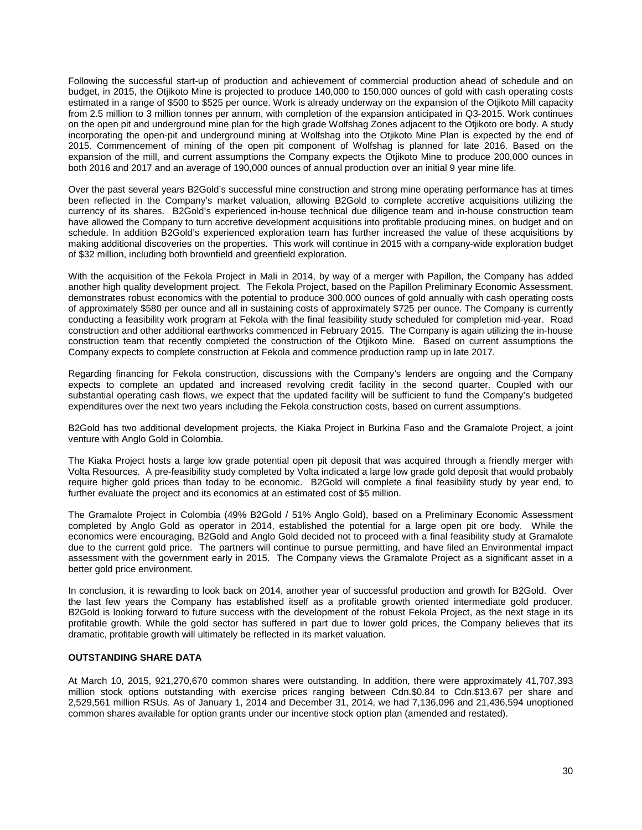Following the successful start-up of production and achievement of commercial production ahead of schedule and on budget, in 2015, the Otjikoto Mine is projected to produce 140,000 to 150,000 ounces of gold with cash operating costs estimated in a range of \$500 to \$525 per ounce. Work is already underway on the expansion of the Otjikoto Mill capacity from 2.5 million to 3 million tonnes per annum, with completion of the expansion anticipated in Q3-2015. Work continues on the open pit and underground mine plan for the high grade Wolfshag Zones adjacent to the Otjikoto ore body. A study incorporating the open-pit and underground mining at Wolfshag into the Otjikoto Mine Plan is expected by the end of 2015. Commencement of mining of the open pit component of Wolfshag is planned for late 2016. Based on the expansion of the mill, and current assumptions the Company expects the Otjikoto Mine to produce 200,000 ounces in both 2016 and 2017 and an average of 190,000 ounces of annual production over an initial 9 year mine life.

Over the past several years B2Gold's successful mine construction and strong mine operating performance has at times been reflected in the Company's market valuation, allowing B2Gold to complete accretive acquisitions utilizing the currency of its shares. B2Gold's experienced in-house technical due diligence team and in-house construction team have allowed the Company to turn accretive development acquisitions into profitable producing mines, on budget and on schedule. In addition B2Gold's experienced exploration team has further increased the value of these acquisitions by making additional discoveries on the properties. This work will continue in 2015 with a company-wide exploration budget of \$32 million, including both brownfield and greenfield exploration.

With the acquisition of the Fekola Project in Mali in 2014, by way of a merger with Papillon, the Company has added another high quality development project. The Fekola Project, based on the Papillon Preliminary Economic Assessment, demonstrates robust economics with the potential to produce 300,000 ounces of gold annually with cash operating costs of approximately \$580 per ounce and all in sustaining costs of approximately \$725 per ounce. The Company is currently conducting a feasibility work program at Fekola with the final feasibility study scheduled for completion mid-year. Road construction and other additional earthworks commenced in February 2015. The Company is again utilizing the in-house construction team that recently completed the construction of the Otjikoto Mine. Based on current assumptions the Company expects to complete construction at Fekola and commence production ramp up in late 2017.

Regarding financing for Fekola construction, discussions with the Company's lenders are ongoing and the Company expects to complete an updated and increased revolving credit facility in the second quarter. Coupled with our substantial operating cash flows, we expect that the updated facility will be sufficient to fund the Company's budgeted expenditures over the next two years including the Fekola construction costs, based on current assumptions.

B2Gold has two additional development projects, the Kiaka Project in Burkina Faso and the Gramalote Project, a joint venture with Anglo Gold in Colombia.

The Kiaka Project hosts a large low grade potential open pit deposit that was acquired through a friendly merger with Volta Resources. A pre-feasibility study completed by Volta indicated a large low grade gold deposit that would probably require higher gold prices than today to be economic. B2Gold will complete a final feasibility study by year end, to further evaluate the project and its economics at an estimated cost of \$5 million.

The Gramalote Project in Colombia (49% B2Gold / 51% Anglo Gold), based on a Preliminary Economic Assessment completed by Anglo Gold as operator in 2014, established the potential for a large open pit ore body. While the economics were encouraging, B2Gold and Anglo Gold decided not to proceed with a final feasibility study at Gramalote due to the current gold price. The partners will continue to pursue permitting, and have filed an Environmental impact assessment with the government early in 2015. The Company views the Gramalote Project as a significant asset in a better gold price environment.

In conclusion, it is rewarding to look back on 2014, another year of successful production and growth for B2Gold. Over the last few years the Company has established itself as a profitable growth oriented intermediate gold producer. B2Gold is looking forward to future success with the development of the robust Fekola Project, as the next stage in its profitable growth. While the gold sector has suffered in part due to lower gold prices, the Company believes that its dramatic, profitable growth will ultimately be reflected in its market valuation.

# **OUTSTANDING SHARE DATA**

At March 10, 2015, 921,270,670 common shares were outstanding. In addition, there were approximately 41,707,393 million stock options outstanding with exercise prices ranging between Cdn.\$0.84 to Cdn.\$13.67 per share and 2,529,561 million RSUs. As of January 1, 2014 and December 31, 2014, we had 7,136,096 and 21,436,594 unoptioned common shares available for option grants under our incentive stock option plan (amended and restated).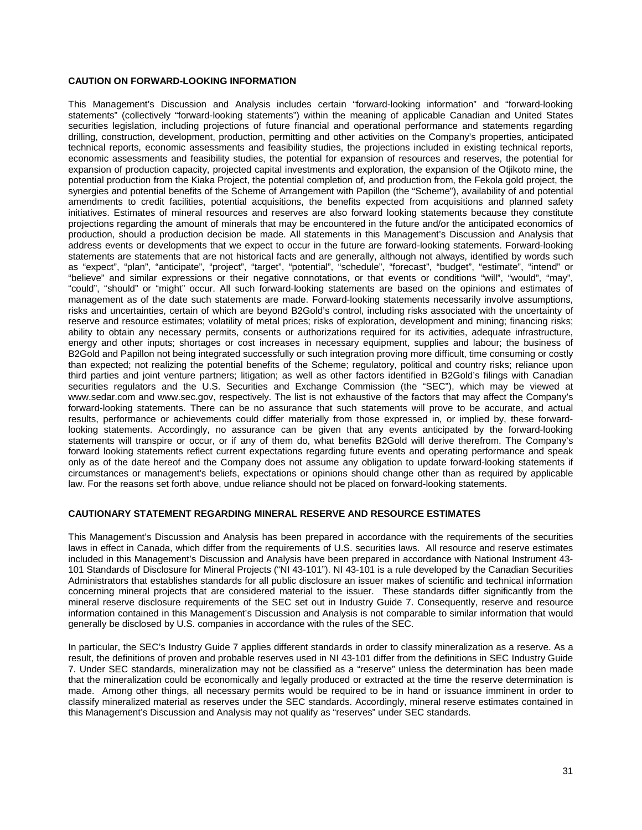# **CAUTION ON FORWARD-LOOKING INFORMATION**

This Management's Discussion and Analysis includes certain "forward-looking information" and "forward-looking statements" (collectively "forward-looking statements") within the meaning of applicable Canadian and United States securities legislation, including projections of future financial and operational performance and statements regarding drilling, construction, development, production, permitting and other activities on the Company's properties, anticipated technical reports, economic assessments and feasibility studies, the projections included in existing technical reports, economic assessments and feasibility studies, the potential for expansion of resources and reserves, the potential for expansion of production capacity, projected capital investments and exploration, the expansion of the Otjikoto mine, the potential production from the Kiaka Project, the potential completion of, and production from, the Fekola gold project, the synergies and potential benefits of the Scheme of Arrangement with Papillon (the "Scheme"), availability of and potential amendments to credit facilities, potential acquisitions, the benefits expected from acquisitions and planned safety initiatives. Estimates of mineral resources and reserves are also forward looking statements because they constitute projections regarding the amount of minerals that may be encountered in the future and/or the anticipated economics of production, should a production decision be made. All statements in this Management's Discussion and Analysis that address events or developments that we expect to occur in the future are forward-looking statements. Forward-looking statements are statements that are not historical facts and are generally, although not always, identified by words such as "expect", "plan", "anticipate", "project", "target", "potential", "schedule", "forecast", "budget", "estimate", "intend" or "believe" and similar expressions or their negative connotations, or that events or conditions "will", "would", "may", "could", "should" or "might" occur. All such forward-looking statements are based on the opinions and estimates of management as of the date such statements are made. Forward-looking statements necessarily involve assumptions, risks and uncertainties, certain of which are beyond B2Gold's control, including risks associated with the uncertainty of reserve and resource estimates; volatility of metal prices; risks of exploration, development and mining; financing risks; ability to obtain any necessary permits, consents or authorizations required for its activities, adequate infrastructure, energy and other inputs; shortages or cost increases in necessary equipment, supplies and labour; the business of B2Gold and Papillon not being integrated successfully or such integration proving more difficult, time consuming or costly than expected; not realizing the potential benefits of the Scheme; regulatory, political and country risks; reliance upon third parties and joint venture partners; litigation; as well as other factors identified in B2Gold's filings with Canadian securities regulators and the U.S. Securities and Exchange Commission (the "SEC"), which may be viewed at www.sedar.com and www.sec.gov, respectively. The list is not exhaustive of the factors that may affect the Company's forward-looking statements. There can be no assurance that such statements will prove to be accurate, and actual results, performance or achievements could differ materially from those expressed in, or implied by, these forwardlooking statements. Accordingly, no assurance can be given that any events anticipated by the forward-looking statements will transpire or occur, or if any of them do, what benefits B2Gold will derive therefrom. The Company's forward looking statements reflect current expectations regarding future events and operating performance and speak only as of the date hereof and the Company does not assume any obligation to update forward-looking statements if circumstances or management's beliefs, expectations or opinions should change other than as required by applicable law. For the reasons set forth above, undue reliance should not be placed on forward-looking statements.

# **CAUTIONARY STATEMENT REGARDING MINERAL RESERVE AND RESOURCE ESTIMATES**

This Management's Discussion and Analysis has been prepared in accordance with the requirements of the securities laws in effect in Canada, which differ from the requirements of U.S. securities laws. All resource and reserve estimates included in this Management's Discussion and Analysis have been prepared in accordance with National Instrument 43- 101 Standards of Disclosure for Mineral Projects ("NI 43-101"). NI 43-101 is a rule developed by the Canadian Securities Administrators that establishes standards for all public disclosure an issuer makes of scientific and technical information concerning mineral projects that are considered material to the issuer. These standards differ significantly from the mineral reserve disclosure requirements of the SEC set out in Industry Guide 7. Consequently, reserve and resource information contained in this Management's Discussion and Analysis is not comparable to similar information that would generally be disclosed by U.S. companies in accordance with the rules of the SEC.

In particular, the SEC's Industry Guide 7 applies different standards in order to classify mineralization as a reserve. As a result, the definitions of proven and probable reserves used in NI 43-101 differ from the definitions in SEC Industry Guide 7. Under SEC standards, mineralization may not be classified as a "reserve" unless the determination has been made that the mineralization could be economically and legally produced or extracted at the time the reserve determination is made. Among other things, all necessary permits would be required to be in hand or issuance imminent in order to classify mineralized material as reserves under the SEC standards. Accordingly, mineral reserve estimates contained in this Management's Discussion and Analysis may not qualify as "reserves" under SEC standards.